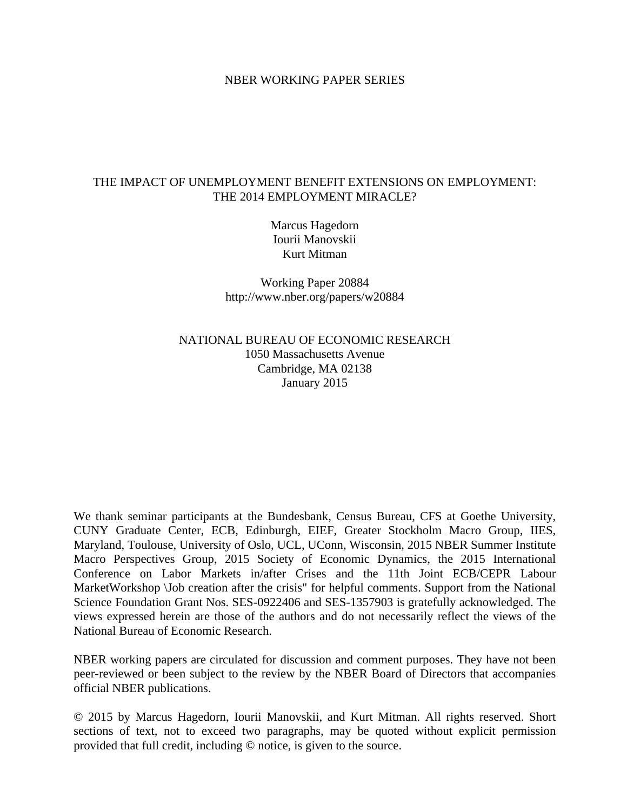#### NBER WORKING PAPER SERIES

#### THE IMPACT OF UNEMPLOYMENT BENEFIT EXTENSIONS ON EMPLOYMENT: THE 2014 EMPLOYMENT MIRACLE?

Marcus Hagedorn Iourii Manovskii Kurt Mitman

Working Paper 20884 http://www.nber.org/papers/w20884

NATIONAL BUREAU OF ECONOMIC RESEARCH 1050 Massachusetts Avenue Cambridge, MA 02138 January 2015

We thank seminar participants at the Bundesbank, Census Bureau, CFS at Goethe University, CUNY Graduate Center, ECB, Edinburgh, EIEF, Greater Stockholm Macro Group, IIES, Maryland, Toulouse, University of Oslo, UCL, UConn, Wisconsin, 2015 NBER Summer Institute Macro Perspectives Group, 2015 Society of Economic Dynamics, the 2015 International Conference on Labor Markets in/after Crises and the 11th Joint ECB/CEPR Labour MarketWorkshop \Job creation after the crisis" for helpful comments. Support from the National Science Foundation Grant Nos. SES-0922406 and SES-1357903 is gratefully acknowledged. The views expressed herein are those of the authors and do not necessarily reflect the views of the National Bureau of Economic Research.

NBER working papers are circulated for discussion and comment purposes. They have not been peer-reviewed or been subject to the review by the NBER Board of Directors that accompanies official NBER publications.

© 2015 by Marcus Hagedorn, Iourii Manovskii, and Kurt Mitman. All rights reserved. Short sections of text, not to exceed two paragraphs, may be quoted without explicit permission provided that full credit, including © notice, is given to the source.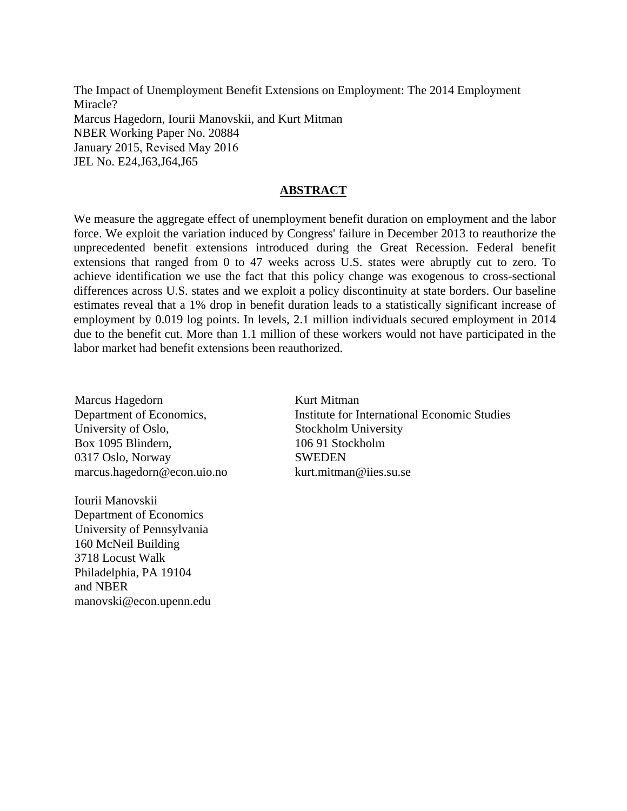The Impact of Unemployment Benefit Extensions on Employment: The 2014 Employment Miracle? Marcus Hagedorn, Iourii Manovskii, and Kurt Mitman NBER Working Paper No. 20884 January 2015, Revised May 2016 JEL No. E24,J63,J64,J65

#### **ABSTRACT**

We measure the aggregate effect of unemployment benefit duration on employment and the labor force. We exploit the variation induced by Congress' failure in December 2013 to reauthorize the unprecedented benefit extensions introduced during the Great Recession. Federal benefit extensions that ranged from 0 to 47 weeks across U.S. states were abruptly cut to zero. To achieve identification we use the fact that this policy change was exogenous to cross-sectional differences across U.S. states and we exploit a policy discontinuity at state borders. Our baseline estimates reveal that a 1% drop in benefit duration leads to a statistically significant increase of employment by 0.019 log points. In levels, 2.1 million individuals secured employment in 2014 due to the benefit cut. More than 1.1 million of these workers would not have participated in the labor market had benefit extensions been reauthorized.

Marcus Hagedorn Department of Economics, University of Oslo, Box 1095 Blindern, 0317 Oslo, Norway marcus.hagedorn@econ.uio.no

Iourii Manovskii Department of Economics University of Pennsylvania 160 McNeil Building 3718 Locust Walk Philadelphia, PA 19104 and NBER manovski@econ.upenn.edu Kurt Mitman Institute for International Economic Studies Stockholm University 106 91 Stockholm **SWEDEN** kurt.mitman@iies.su.se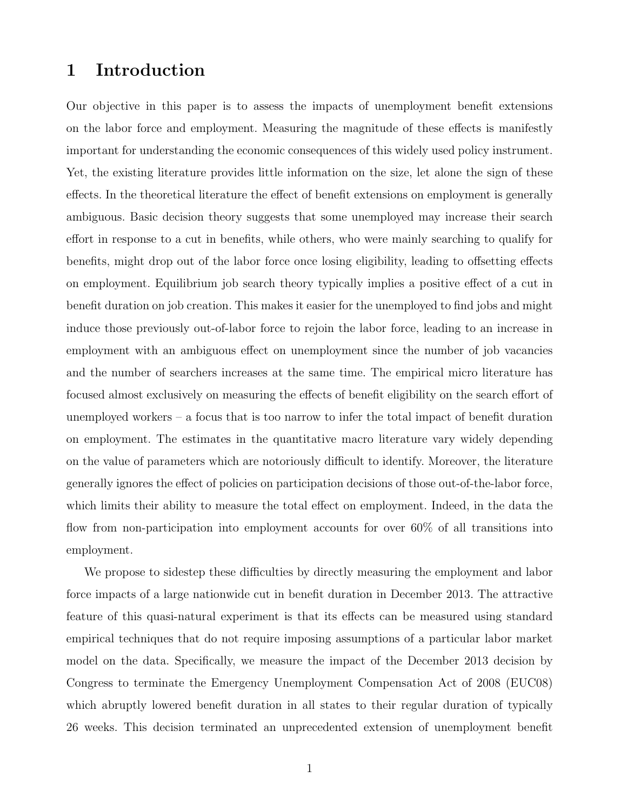### 1 Introduction

Our objective in this paper is to assess the impacts of unemployment benefit extensions on the labor force and employment. Measuring the magnitude of these effects is manifestly important for understanding the economic consequences of this widely used policy instrument. Yet, the existing literature provides little information on the size, let alone the sign of these effects. In the theoretical literature the effect of benefit extensions on employment is generally ambiguous. Basic decision theory suggests that some unemployed may increase their search effort in response to a cut in benefits, while others, who were mainly searching to qualify for benefits, might drop out of the labor force once losing eligibility, leading to offsetting effects on employment. Equilibrium job search theory typically implies a positive effect of a cut in benefit duration on job creation. This makes it easier for the unemployed to find jobs and might induce those previously out-of-labor force to rejoin the labor force, leading to an increase in employment with an ambiguous effect on unemployment since the number of job vacancies and the number of searchers increases at the same time. The empirical micro literature has focused almost exclusively on measuring the effects of benefit eligibility on the search effort of unemployed workers – a focus that is too narrow to infer the total impact of benefit duration on employment. The estimates in the quantitative macro literature vary widely depending on the value of parameters which are notoriously difficult to identify. Moreover, the literature generally ignores the effect of policies on participation decisions of those out-of-the-labor force, which limits their ability to measure the total effect on employment. Indeed, in the data the flow from non-participation into employment accounts for over 60% of all transitions into employment.

We propose to sidestep these difficulties by directly measuring the employment and labor force impacts of a large nationwide cut in benefit duration in December 2013. The attractive feature of this quasi-natural experiment is that its effects can be measured using standard empirical techniques that do not require imposing assumptions of a particular labor market model on the data. Specifically, we measure the impact of the December 2013 decision by Congress to terminate the Emergency Unemployment Compensation Act of 2008 (EUC08) which abruptly lowered benefit duration in all states to their regular duration of typically 26 weeks. This decision terminated an unprecedented extension of unemployment benefit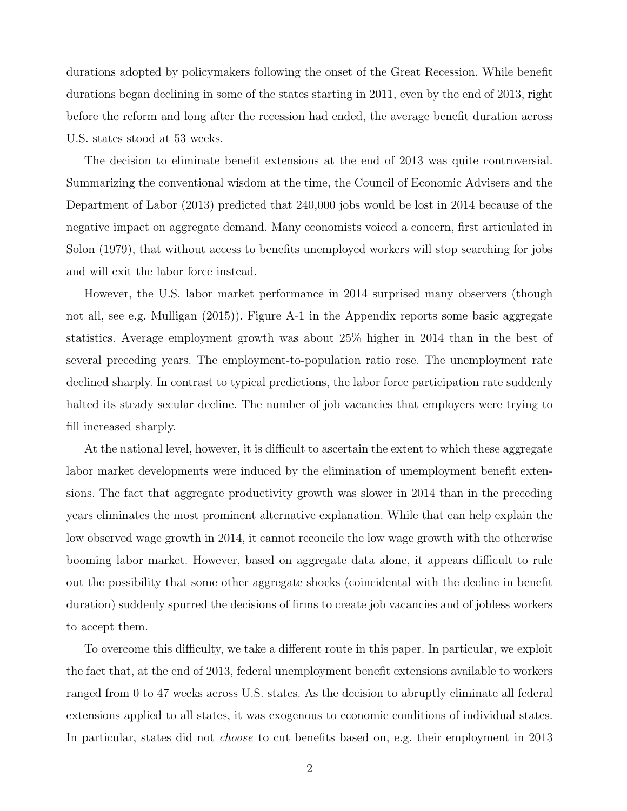durations adopted by policymakers following the onset of the Great Recession. While benefit durations began declining in some of the states starting in 2011, even by the end of 2013, right before the reform and long after the recession had ended, the average benefit duration across U.S. states stood at 53 weeks.

The decision to eliminate benefit extensions at the end of 2013 was quite controversial. Summarizing the conventional wisdom at the time, the Council of Economic Advisers and the Department of Labor (2013) predicted that 240,000 jobs would be lost in 2014 because of the negative impact on aggregate demand. Many economists voiced a concern, first articulated in Solon (1979), that without access to benefits unemployed workers will stop searching for jobs and will exit the labor force instead.

However, the U.S. labor market performance in 2014 surprised many observers (though not all, see e.g. Mulligan (2015)). Figure A-1 in the Appendix reports some basic aggregate statistics. Average employment growth was about 25% higher in 2014 than in the best of several preceding years. The employment-to-population ratio rose. The unemployment rate declined sharply. In contrast to typical predictions, the labor force participation rate suddenly halted its steady secular decline. The number of job vacancies that employers were trying to fill increased sharply.

At the national level, however, it is difficult to ascertain the extent to which these aggregate labor market developments were induced by the elimination of unemployment benefit extensions. The fact that aggregate productivity growth was slower in 2014 than in the preceding years eliminates the most prominent alternative explanation. While that can help explain the low observed wage growth in 2014, it cannot reconcile the low wage growth with the otherwise booming labor market. However, based on aggregate data alone, it appears difficult to rule out the possibility that some other aggregate shocks (coincidental with the decline in benefit duration) suddenly spurred the decisions of firms to create job vacancies and of jobless workers to accept them.

To overcome this difficulty, we take a different route in this paper. In particular, we exploit the fact that, at the end of 2013, federal unemployment benefit extensions available to workers ranged from 0 to 47 weeks across U.S. states. As the decision to abruptly eliminate all federal extensions applied to all states, it was exogenous to economic conditions of individual states. In particular, states did not choose to cut benefits based on, e.g. their employment in 2013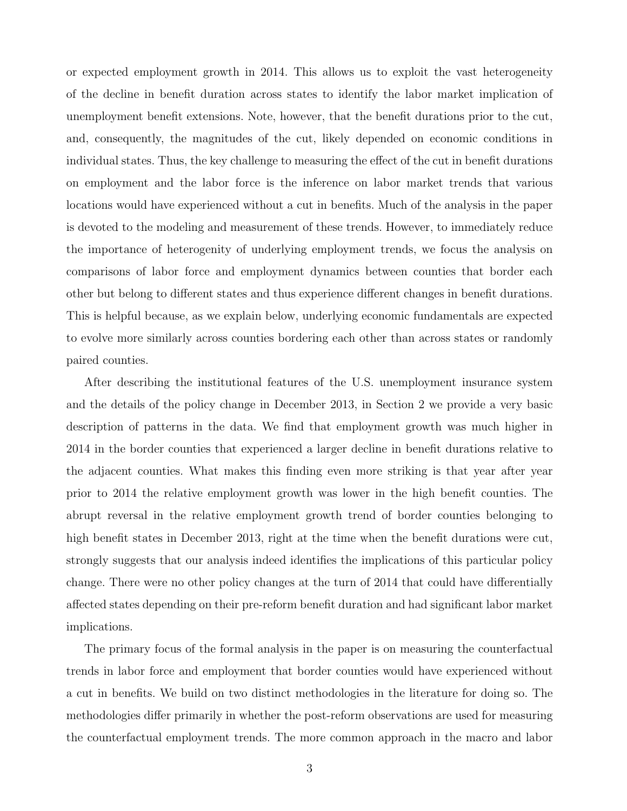or expected employment growth in 2014. This allows us to exploit the vast heterogeneity of the decline in benefit duration across states to identify the labor market implication of unemployment benefit extensions. Note, however, that the benefit durations prior to the cut, and, consequently, the magnitudes of the cut, likely depended on economic conditions in individual states. Thus, the key challenge to measuring the effect of the cut in benefit durations on employment and the labor force is the inference on labor market trends that various locations would have experienced without a cut in benefits. Much of the analysis in the paper is devoted to the modeling and measurement of these trends. However, to immediately reduce the importance of heterogenity of underlying employment trends, we focus the analysis on comparisons of labor force and employment dynamics between counties that border each other but belong to different states and thus experience different changes in benefit durations. This is helpful because, as we explain below, underlying economic fundamentals are expected to evolve more similarly across counties bordering each other than across states or randomly paired counties.

After describing the institutional features of the U.S. unemployment insurance system and the details of the policy change in December 2013, in Section 2 we provide a very basic description of patterns in the data. We find that employment growth was much higher in 2014 in the border counties that experienced a larger decline in benefit durations relative to the adjacent counties. What makes this finding even more striking is that year after year prior to 2014 the relative employment growth was lower in the high benefit counties. The abrupt reversal in the relative employment growth trend of border counties belonging to high benefit states in December 2013, right at the time when the benefit durations were cut, strongly suggests that our analysis indeed identifies the implications of this particular policy change. There were no other policy changes at the turn of 2014 that could have differentially affected states depending on their pre-reform benefit duration and had significant labor market implications.

The primary focus of the formal analysis in the paper is on measuring the counterfactual trends in labor force and employment that border counties would have experienced without a cut in benefits. We build on two distinct methodologies in the literature for doing so. The methodologies differ primarily in whether the post-reform observations are used for measuring the counterfactual employment trends. The more common approach in the macro and labor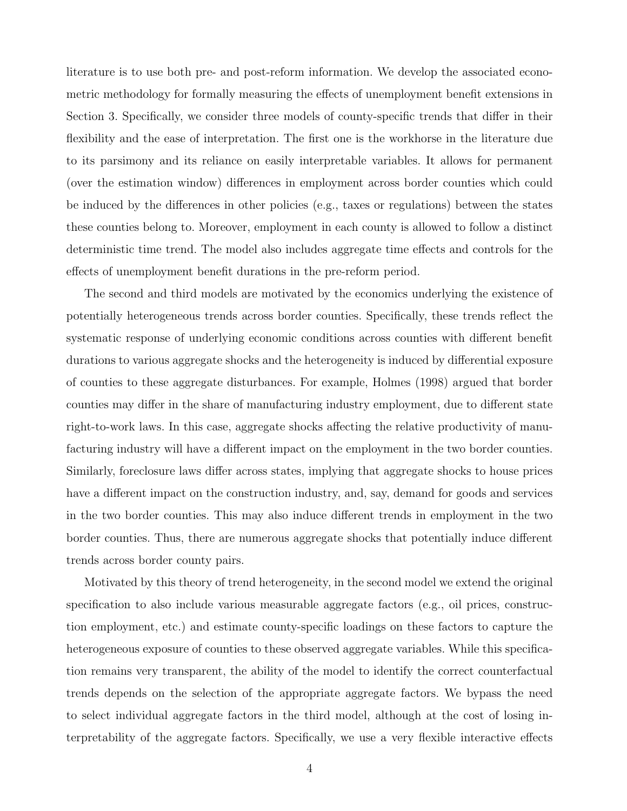literature is to use both pre- and post-reform information. We develop the associated econometric methodology for formally measuring the effects of unemployment benefit extensions in Section 3. Specifically, we consider three models of county-specific trends that differ in their flexibility and the ease of interpretation. The first one is the workhorse in the literature due to its parsimony and its reliance on easily interpretable variables. It allows for permanent (over the estimation window) differences in employment across border counties which could be induced by the differences in other policies (e.g., taxes or regulations) between the states these counties belong to. Moreover, employment in each county is allowed to follow a distinct deterministic time trend. The model also includes aggregate time effects and controls for the effects of unemployment benefit durations in the pre-reform period.

The second and third models are motivated by the economics underlying the existence of potentially heterogeneous trends across border counties. Specifically, these trends reflect the systematic response of underlying economic conditions across counties with different benefit durations to various aggregate shocks and the heterogeneity is induced by differential exposure of counties to these aggregate disturbances. For example, Holmes (1998) argued that border counties may differ in the share of manufacturing industry employment, due to different state right-to-work laws. In this case, aggregate shocks affecting the relative productivity of manufacturing industry will have a different impact on the employment in the two border counties. Similarly, foreclosure laws differ across states, implying that aggregate shocks to house prices have a different impact on the construction industry, and, say, demand for goods and services in the two border counties. This may also induce different trends in employment in the two border counties. Thus, there are numerous aggregate shocks that potentially induce different trends across border county pairs.

Motivated by this theory of trend heterogeneity, in the second model we extend the original specification to also include various measurable aggregate factors (e.g., oil prices, construction employment, etc.) and estimate county-specific loadings on these factors to capture the heterogeneous exposure of counties to these observed aggregate variables. While this specification remains very transparent, the ability of the model to identify the correct counterfactual trends depends on the selection of the appropriate aggregate factors. We bypass the need to select individual aggregate factors in the third model, although at the cost of losing interpretability of the aggregate factors. Specifically, we use a very flexible interactive effects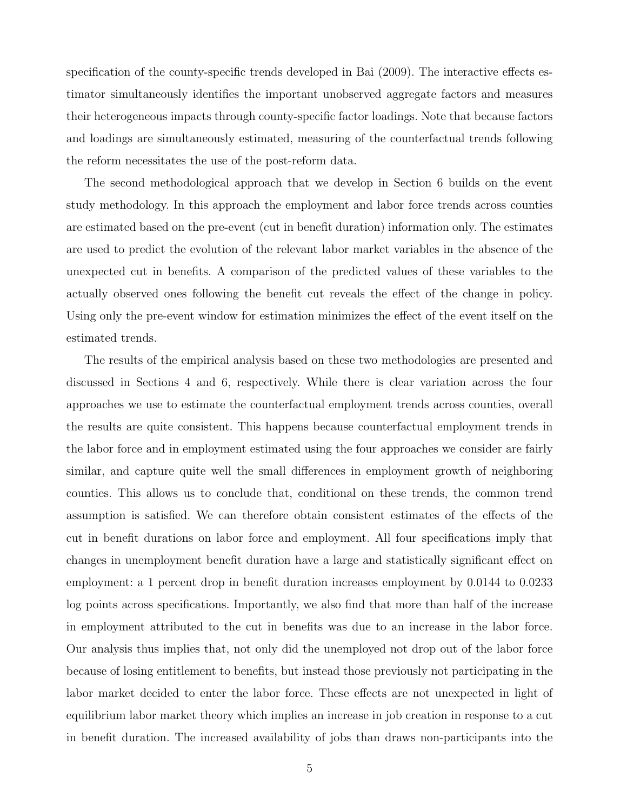specification of the county-specific trends developed in Bai (2009). The interactive effects estimator simultaneously identifies the important unobserved aggregate factors and measures their heterogeneous impacts through county-specific factor loadings. Note that because factors and loadings are simultaneously estimated, measuring of the counterfactual trends following the reform necessitates the use of the post-reform data.

The second methodological approach that we develop in Section 6 builds on the event study methodology. In this approach the employment and labor force trends across counties are estimated based on the pre-event (cut in benefit duration) information only. The estimates are used to predict the evolution of the relevant labor market variables in the absence of the unexpected cut in benefits. A comparison of the predicted values of these variables to the actually observed ones following the benefit cut reveals the effect of the change in policy. Using only the pre-event window for estimation minimizes the effect of the event itself on the estimated trends.

The results of the empirical analysis based on these two methodologies are presented and discussed in Sections 4 and 6, respectively. While there is clear variation across the four approaches we use to estimate the counterfactual employment trends across counties, overall the results are quite consistent. This happens because counterfactual employment trends in the labor force and in employment estimated using the four approaches we consider are fairly similar, and capture quite well the small differences in employment growth of neighboring counties. This allows us to conclude that, conditional on these trends, the common trend assumption is satisfied. We can therefore obtain consistent estimates of the effects of the cut in benefit durations on labor force and employment. All four specifications imply that changes in unemployment benefit duration have a large and statistically significant effect on employment: a 1 percent drop in benefit duration increases employment by 0.0144 to 0.0233 log points across specifications. Importantly, we also find that more than half of the increase in employment attributed to the cut in benefits was due to an increase in the labor force. Our analysis thus implies that, not only did the unemployed not drop out of the labor force because of losing entitlement to benefits, but instead those previously not participating in the labor market decided to enter the labor force. These effects are not unexpected in light of equilibrium labor market theory which implies an increase in job creation in response to a cut in benefit duration. The increased availability of jobs than draws non-participants into the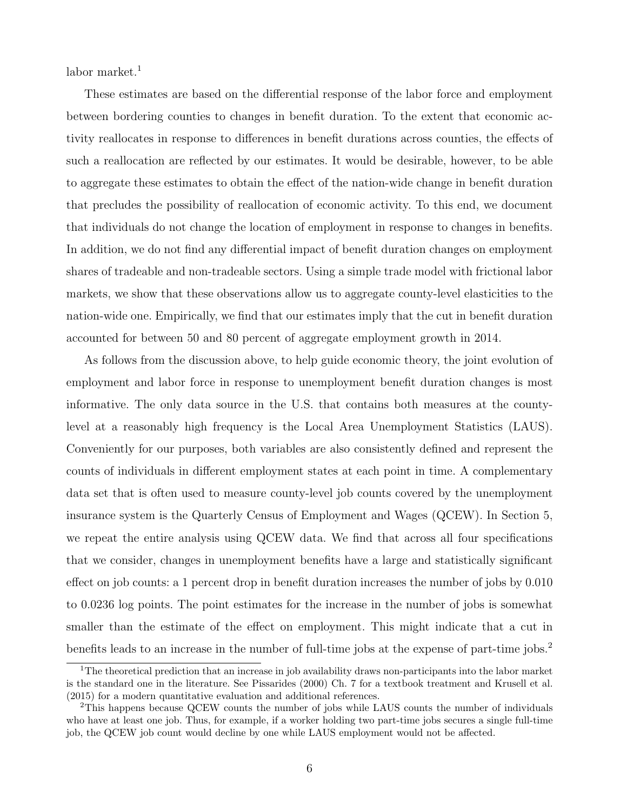labor market.<sup>1</sup>

These estimates are based on the differential response of the labor force and employment between bordering counties to changes in benefit duration. To the extent that economic activity reallocates in response to differences in benefit durations across counties, the effects of such a reallocation are reflected by our estimates. It would be desirable, however, to be able to aggregate these estimates to obtain the effect of the nation-wide change in benefit duration that precludes the possibility of reallocation of economic activity. To this end, we document that individuals do not change the location of employment in response to changes in benefits. In addition, we do not find any differential impact of benefit duration changes on employment shares of tradeable and non-tradeable sectors. Using a simple trade model with frictional labor markets, we show that these observations allow us to aggregate county-level elasticities to the nation-wide one. Empirically, we find that our estimates imply that the cut in benefit duration accounted for between 50 and 80 percent of aggregate employment growth in 2014.

As follows from the discussion above, to help guide economic theory, the joint evolution of employment and labor force in response to unemployment benefit duration changes is most informative. The only data source in the U.S. that contains both measures at the countylevel at a reasonably high frequency is the Local Area Unemployment Statistics (LAUS). Conveniently for our purposes, both variables are also consistently defined and represent the counts of individuals in different employment states at each point in time. A complementary data set that is often used to measure county-level job counts covered by the unemployment insurance system is the Quarterly Census of Employment and Wages (QCEW). In Section 5, we repeat the entire analysis using QCEW data. We find that across all four specifications that we consider, changes in unemployment benefits have a large and statistically significant effect on job counts: a 1 percent drop in benefit duration increases the number of jobs by 0.010 to 0.0236 log points. The point estimates for the increase in the number of jobs is somewhat smaller than the estimate of the effect on employment. This might indicate that a cut in benefits leads to an increase in the number of full-time jobs at the expense of part-time jobs.<sup>2</sup>

<sup>&</sup>lt;sup>1</sup>The theoretical prediction that an increase in job availability draws non-participants into the labor market is the standard one in the literature. See Pissarides (2000) Ch. 7 for a textbook treatment and Krusell et al. (2015) for a modern quantitative evaluation and additional references.

<sup>&</sup>lt;sup>2</sup>This happens because QCEW counts the number of jobs while LAUS counts the number of individuals who have at least one job. Thus, for example, if a worker holding two part-time jobs secures a single full-time job, the QCEW job count would decline by one while LAUS employment would not be affected.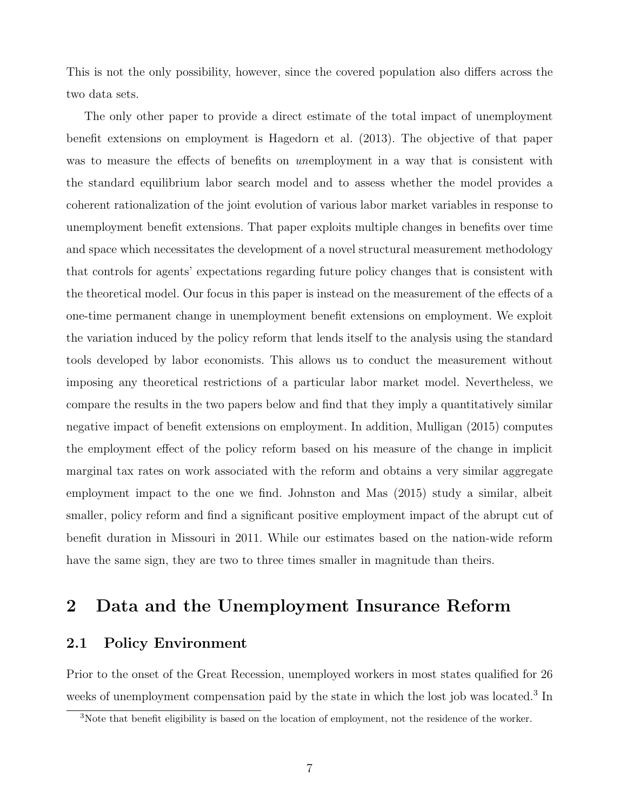This is not the only possibility, however, since the covered population also differs across the two data sets.

The only other paper to provide a direct estimate of the total impact of unemployment benefit extensions on employment is Hagedorn et al. (2013). The objective of that paper was to measure the effects of benefits on *unemployment* in a way that is consistent with the standard equilibrium labor search model and to assess whether the model provides a coherent rationalization of the joint evolution of various labor market variables in response to unemployment benefit extensions. That paper exploits multiple changes in benefits over time and space which necessitates the development of a novel structural measurement methodology that controls for agents' expectations regarding future policy changes that is consistent with the theoretical model. Our focus in this paper is instead on the measurement of the effects of a one-time permanent change in unemployment benefit extensions on employment. We exploit the variation induced by the policy reform that lends itself to the analysis using the standard tools developed by labor economists. This allows us to conduct the measurement without imposing any theoretical restrictions of a particular labor market model. Nevertheless, we compare the results in the two papers below and find that they imply a quantitatively similar negative impact of benefit extensions on employment. In addition, Mulligan (2015) computes the employment effect of the policy reform based on his measure of the change in implicit marginal tax rates on work associated with the reform and obtains a very similar aggregate employment impact to the one we find. Johnston and Mas (2015) study a similar, albeit smaller, policy reform and find a significant positive employment impact of the abrupt cut of benefit duration in Missouri in 2011. While our estimates based on the nation-wide reform have the same sign, they are two to three times smaller in magnitude than theirs.

### 2 Data and the Unemployment Insurance Reform

#### 2.1 Policy Environment

Prior to the onset of the Great Recession, unemployed workers in most states qualified for 26 weeks of unemployment compensation paid by the state in which the lost job was located.<sup>3</sup> In

<sup>&</sup>lt;sup>3</sup>Note that benefit eligibility is based on the location of employment, not the residence of the worker.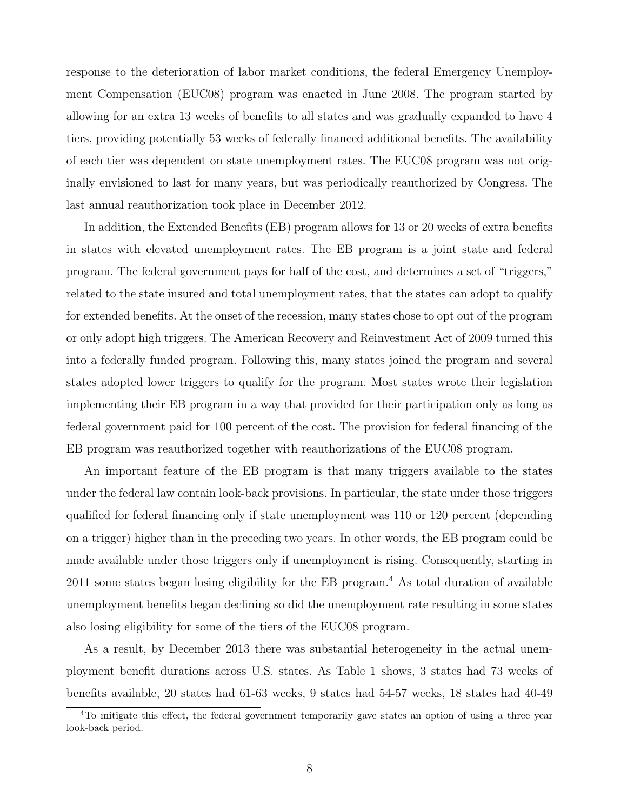response to the deterioration of labor market conditions, the federal Emergency Unemployment Compensation (EUC08) program was enacted in June 2008. The program started by allowing for an extra 13 weeks of benefits to all states and was gradually expanded to have 4 tiers, providing potentially 53 weeks of federally financed additional benefits. The availability of each tier was dependent on state unemployment rates. The EUC08 program was not originally envisioned to last for many years, but was periodically reauthorized by Congress. The last annual reauthorization took place in December 2012.

In addition, the Extended Benefits (EB) program allows for 13 or 20 weeks of extra benefits in states with elevated unemployment rates. The EB program is a joint state and federal program. The federal government pays for half of the cost, and determines a set of "triggers," related to the state insured and total unemployment rates, that the states can adopt to qualify for extended benefits. At the onset of the recession, many states chose to opt out of the program or only adopt high triggers. The American Recovery and Reinvestment Act of 2009 turned this into a federally funded program. Following this, many states joined the program and several states adopted lower triggers to qualify for the program. Most states wrote their legislation implementing their EB program in a way that provided for their participation only as long as federal government paid for 100 percent of the cost. The provision for federal financing of the EB program was reauthorized together with reauthorizations of the EUC08 program.

An important feature of the EB program is that many triggers available to the states under the federal law contain look-back provisions. In particular, the state under those triggers qualified for federal financing only if state unemployment was 110 or 120 percent (depending on a trigger) higher than in the preceding two years. In other words, the EB program could be made available under those triggers only if unemployment is rising. Consequently, starting in 2011 some states began losing eligibility for the EB program.<sup>4</sup> As total duration of available unemployment benefits began declining so did the unemployment rate resulting in some states also losing eligibility for some of the tiers of the EUC08 program.

As a result, by December 2013 there was substantial heterogeneity in the actual unemployment benefit durations across U.S. states. As Table 1 shows, 3 states had 73 weeks of benefits available, 20 states had 61-63 weeks, 9 states had 54-57 weeks, 18 states had 40-49

<sup>&</sup>lt;sup>4</sup>To mitigate this effect, the federal government temporarily gave states an option of using a three year look-back period.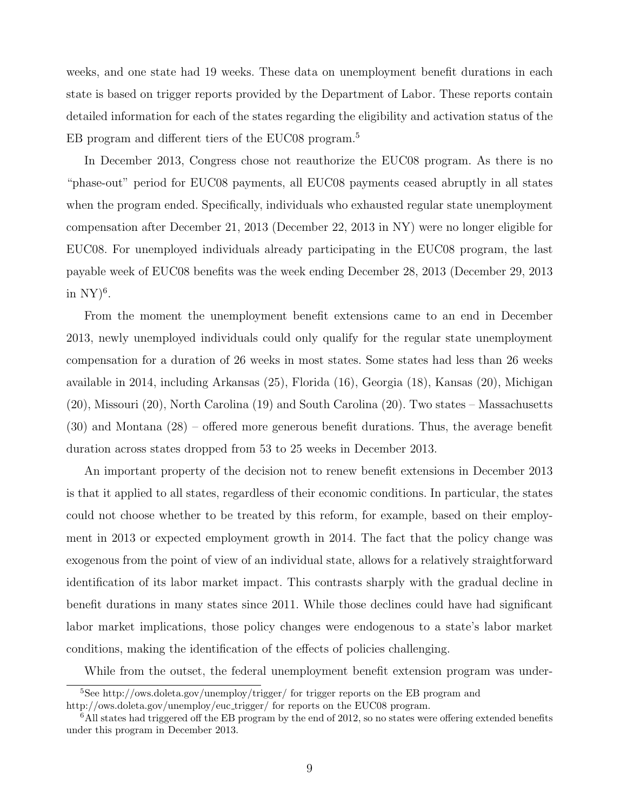weeks, and one state had 19 weeks. These data on unemployment benefit durations in each state is based on trigger reports provided by the Department of Labor. These reports contain detailed information for each of the states regarding the eligibility and activation status of the EB program and different tiers of the EUC08 program.<sup>5</sup>

In December 2013, Congress chose not reauthorize the EUC08 program. As there is no "phase-out" period for EUC08 payments, all EUC08 payments ceased abruptly in all states when the program ended. Specifically, individuals who exhausted regular state unemployment compensation after December 21, 2013 (December 22, 2013 in NY) were no longer eligible for EUC08. For unemployed individuals already participating in the EUC08 program, the last payable week of EUC08 benefits was the week ending December 28, 2013 (December 29, 2013 in  $NY)^6$ .

From the moment the unemployment benefit extensions came to an end in December 2013, newly unemployed individuals could only qualify for the regular state unemployment compensation for a duration of 26 weeks in most states. Some states had less than 26 weeks available in 2014, including Arkansas (25), Florida (16), Georgia (18), Kansas (20), Michigan (20), Missouri (20), North Carolina (19) and South Carolina (20). Two states – Massachusetts (30) and Montana (28) – offered more generous benefit durations. Thus, the average benefit duration across states dropped from 53 to 25 weeks in December 2013.

An important property of the decision not to renew benefit extensions in December 2013 is that it applied to all states, regardless of their economic conditions. In particular, the states could not choose whether to be treated by this reform, for example, based on their employment in 2013 or expected employment growth in 2014. The fact that the policy change was exogenous from the point of view of an individual state, allows for a relatively straightforward identification of its labor market impact. This contrasts sharply with the gradual decline in benefit durations in many states since 2011. While those declines could have had significant labor market implications, those policy changes were endogenous to a state's labor market conditions, making the identification of the effects of policies challenging.

While from the outset, the federal unemployment benefit extension program was under-

<sup>5</sup>See http://ows.doleta.gov/unemploy/trigger/ for trigger reports on the EB program and http://ows.doleta.gov/unemploy/euc\_trigger/ for reports on the EUC08 program.

 $6$ All states had triggered off the EB program by the end of 2012, so no states were offering extended benefits under this program in December 2013.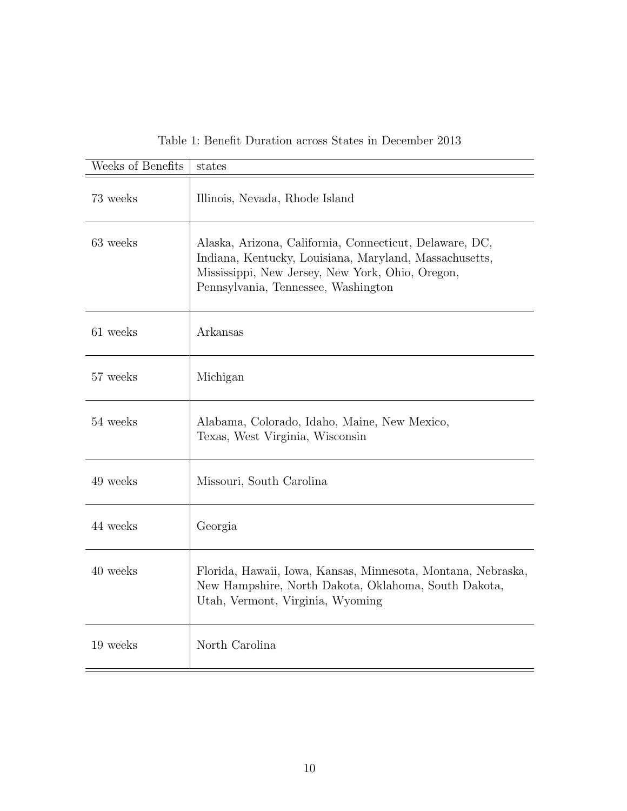| Weeks of Benefits | states                                                                                                                                                                                                       |
|-------------------|--------------------------------------------------------------------------------------------------------------------------------------------------------------------------------------------------------------|
| 73 weeks          | Illinois, Nevada, Rhode Island                                                                                                                                                                               |
| 63 weeks          | Alaska, Arizona, California, Connecticut, Delaware, DC,<br>Indiana, Kentucky, Louisiana, Maryland, Massachusetts,<br>Mississippi, New Jersey, New York, Ohio, Oregon,<br>Pennsylvania, Tennessee, Washington |
| 61 weeks          | Arkansas                                                                                                                                                                                                     |
| 57 weeks          | Michigan                                                                                                                                                                                                     |
| 54 weeks          | Alabama, Colorado, Idaho, Maine, New Mexico,<br>Texas, West Virginia, Wisconsin                                                                                                                              |
| 49 weeks          | Missouri, South Carolina                                                                                                                                                                                     |
| 44 weeks          | Georgia                                                                                                                                                                                                      |
| 40 weeks          | Florida, Hawaii, Iowa, Kansas, Minnesota, Montana, Nebraska,<br>New Hampshire, North Dakota, Oklahoma, South Dakota,<br>Utah, Vermont, Virginia, Wyoming                                                     |
| 19 weeks          | North Carolina                                                                                                                                                                                               |

Table 1: Benefit Duration across States in December 2013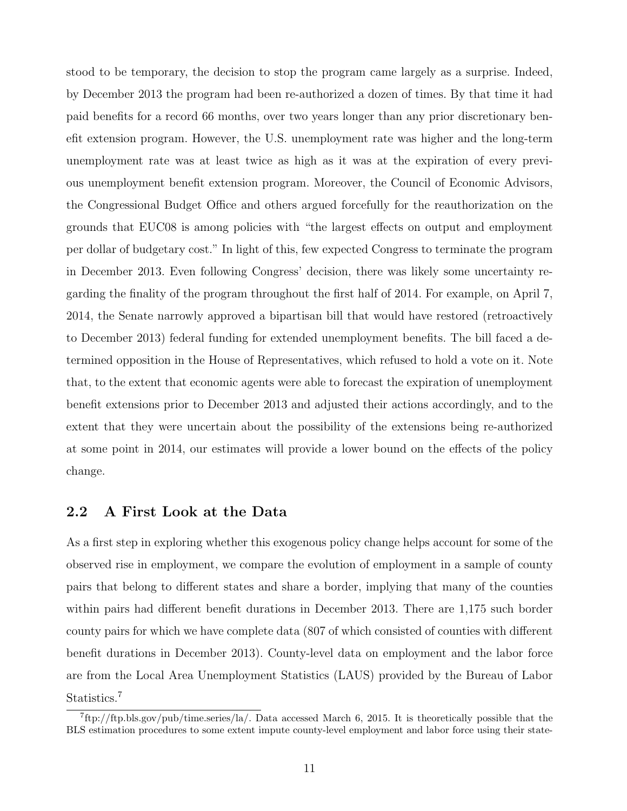stood to be temporary, the decision to stop the program came largely as a surprise. Indeed, by December 2013 the program had been re-authorized a dozen of times. By that time it had paid benefits for a record 66 months, over two years longer than any prior discretionary benefit extension program. However, the U.S. unemployment rate was higher and the long-term unemployment rate was at least twice as high as it was at the expiration of every previous unemployment benefit extension program. Moreover, the Council of Economic Advisors, the Congressional Budget Office and others argued forcefully for the reauthorization on the grounds that EUC08 is among policies with "the largest effects on output and employment per dollar of budgetary cost." In light of this, few expected Congress to terminate the program in December 2013. Even following Congress' decision, there was likely some uncertainty regarding the finality of the program throughout the first half of 2014. For example, on April 7, 2014, the Senate narrowly approved a bipartisan bill that would have restored (retroactively to December 2013) federal funding for extended unemployment benefits. The bill faced a determined opposition in the House of Representatives, which refused to hold a vote on it. Note that, to the extent that economic agents were able to forecast the expiration of unemployment benefit extensions prior to December 2013 and adjusted their actions accordingly, and to the extent that they were uncertain about the possibility of the extensions being re-authorized at some point in 2014, our estimates will provide a lower bound on the effects of the policy change.

#### 2.2 A First Look at the Data

As a first step in exploring whether this exogenous policy change helps account for some of the observed rise in employment, we compare the evolution of employment in a sample of county pairs that belong to different states and share a border, implying that many of the counties within pairs had different benefit durations in December 2013. There are 1,175 such border county pairs for which we have complete data (807 of which consisted of counties with different benefit durations in December 2013). County-level data on employment and the labor force are from the Local Area Unemployment Statistics (LAUS) provided by the Bureau of Labor Statistics.<sup>7</sup>

<sup>7</sup> ftp://ftp.bls.gov/pub/time.series/la/. Data accessed March 6, 2015. It is theoretically possible that the BLS estimation procedures to some extent impute county-level employment and labor force using their state-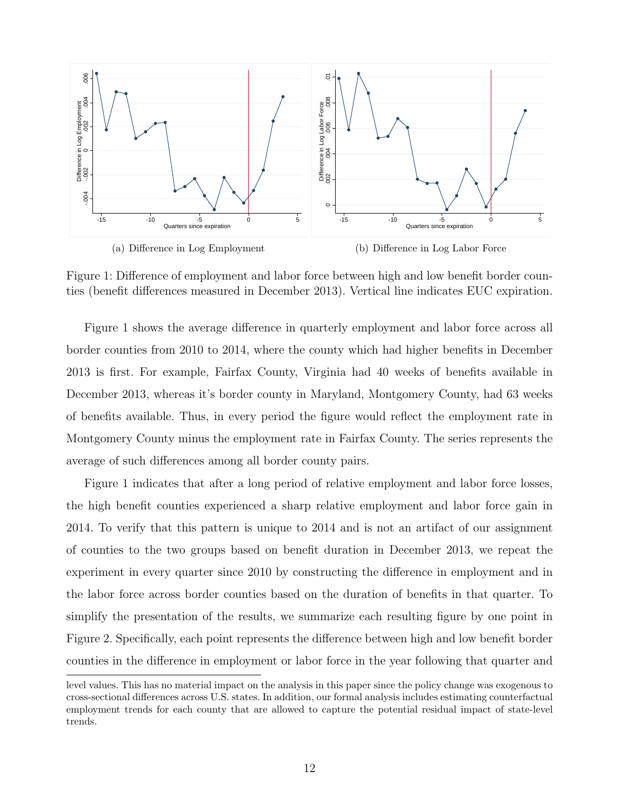

Figure 1: Difference of employment and labor force between high and low benefit border counties (benefit differences measured in December 2013). Vertical line indicates EUC expiration.

Figure 1 shows the average difference in quarterly employment and labor force across all border counties from 2010 to 2014, where the county which had higher benefits in December 2013 is first. For example, Fairfax County, Virginia had 40 weeks of benefits available in December 2013, whereas it's border county in Maryland, Montgomery County, had 63 weeks of benefits available. Thus, in every period the figure would reflect the employment rate in Montgomery County minus the employment rate in Fairfax County. The series represents the average of such differences among all border county pairs.

Figure 1 indicates that after a long period of relative employment and labor force losses, the high benefit counties experienced a sharp relative employment and labor force gain in 2014. To verify that this pattern is unique to 2014 and is not an artifact of our assignment of counties to the two groups based on benefit duration in December 2013, we repeat the experiment in every quarter since 2010 by constructing the difference in employment and in the labor force across border counties based on the duration of benefits in that quarter. To simplify the presentation of the results, we summarize each resulting figure by one point in Figure 2. Specifically, each point represents the difference between high and low benefit border counties in the difference in employment or labor force in the year following that quarter and

level values. This has no material impact on the analysis in this paper since the policy change was exogenous to cross-sectional differences across U.S. states. In addition, our formal analysis includes estimating counterfactual employment trends for each county that are allowed to capture the potential residual impact of state-level trends.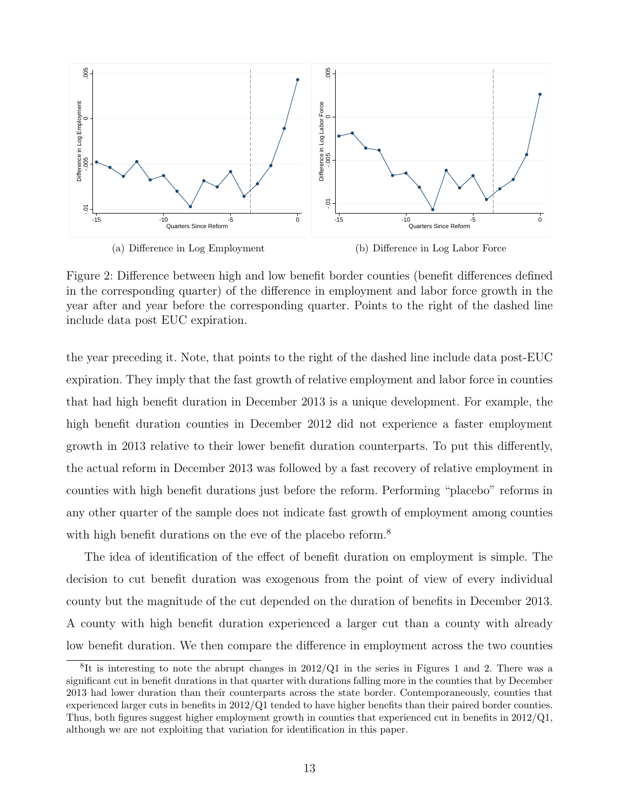

Figure 2: Difference between high and low benefit border counties (benefit differences defined in the corresponding quarter) of the difference in employment and labor force growth in the year after and year before the corresponding quarter. Points to the right of the dashed line include data post EUC expiration.

the year preceding it. Note, that points to the right of the dashed line include data post-EUC expiration. They imply that the fast growth of relative employment and labor force in counties that had high benefit duration in December 2013 is a unique development. For example, the high benefit duration counties in December 2012 did not experience a faster employment growth in 2013 relative to their lower benefit duration counterparts. To put this differently, the actual reform in December 2013 was followed by a fast recovery of relative employment in counties with high benefit durations just before the reform. Performing "placebo" reforms in any other quarter of the sample does not indicate fast growth of employment among counties with high benefit durations on the eve of the placebo reform.<sup>8</sup>

The idea of identification of the effect of benefit duration on employment is simple. The decision to cut benefit duration was exogenous from the point of view of every individual county but the magnitude of the cut depended on the duration of benefits in December 2013. A county with high benefit duration experienced a larger cut than a county with already low benefit duration. We then compare the difference in employment across the two counties

 ${}^{8}$ It is interesting to note the abrupt changes in 2012/Q1 in the series in Figures 1 and 2. There was a significant cut in benefit durations in that quarter with durations falling more in the counties that by December 2013 had lower duration than their counterparts across the state border. Contemporaneously, counties that experienced larger cuts in benefits in 2012/Q1 tended to have higher benefits than their paired border counties. Thus, both figures suggest higher employment growth in counties that experienced cut in benefits in 2012/Q1, although we are not exploiting that variation for identification in this paper.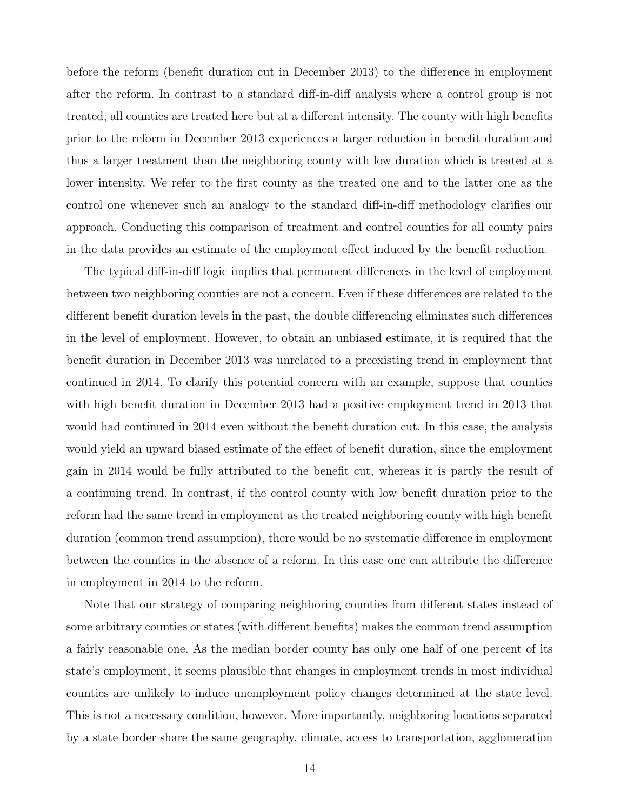before the reform (benefit duration cut in December 2013) to the difference in employment after the reform. In contrast to a standard diff-in-diff analysis where a control group is not treated, all counties are treated here but at a different intensity. The county with high benefits prior to the reform in December 2013 experiences a larger reduction in benefit duration and thus a larger treatment than the neighboring county with low duration which is treated at a lower intensity. We refer to the first county as the treated one and to the latter one as the control one whenever such an analogy to the standard diff-in-diff methodology clarifies our approach. Conducting this comparison of treatment and control counties for all county pairs in the data provides an estimate of the employment effect induced by the benefit reduction.

The typical diff-in-diff logic implies that permanent differences in the level of employment between two neighboring counties are not a concern. Even if these differences are related to the different benefit duration levels in the past, the double differencing eliminates such differences in the level of employment. However, to obtain an unbiased estimate, it is required that the benefit duration in December 2013 was unrelated to a preexisting trend in employment that continued in 2014. To clarify this potential concern with an example, suppose that counties with high benefit duration in December 2013 had a positive employment trend in 2013 that would had continued in 2014 even without the benefit duration cut. In this case, the analysis would yield an upward biased estimate of the effect of benefit duration, since the employment gain in 2014 would be fully attributed to the benefit cut, whereas it is partly the result of a continuing trend. In contrast, if the control county with low benefit duration prior to the reform had the same trend in employment as the treated neighboring county with high benefit duration (common trend assumption), there would be no systematic difference in employment between the counties in the absence of a reform. In this case one can attribute the difference in employment in 2014 to the reform.

Note that our strategy of comparing neighboring counties from different states instead of some arbitrary counties or states (with different benefits) makes the common trend assumption a fairly reasonable one. As the median border county has only one half of one percent of its state's employment, it seems plausible that changes in employment trends in most individual counties are unlikely to induce unemployment policy changes determined at the state level. This is not a necessary condition, however. More importantly, neighboring locations separated by a state border share the same geography, climate, access to transportation, agglomeration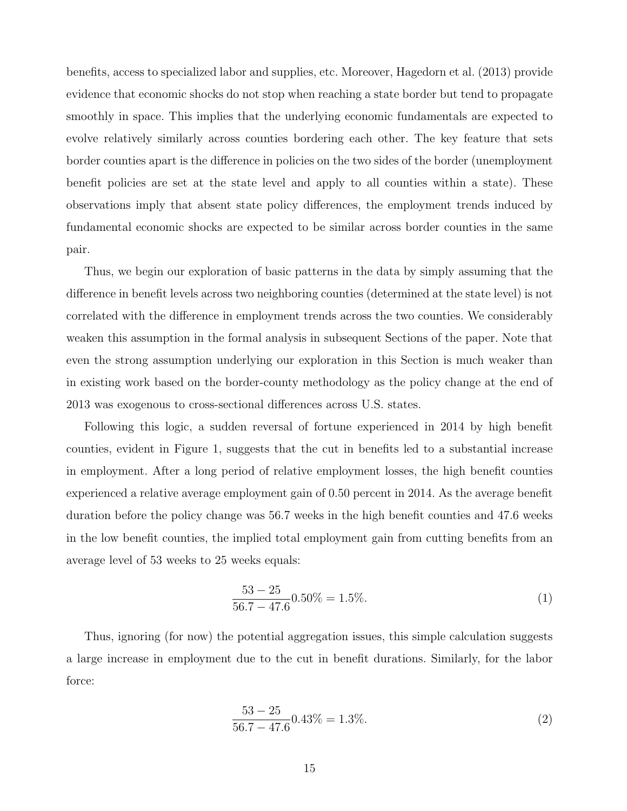benefits, access to specialized labor and supplies, etc. Moreover, Hagedorn et al. (2013) provide evidence that economic shocks do not stop when reaching a state border but tend to propagate smoothly in space. This implies that the underlying economic fundamentals are expected to evolve relatively similarly across counties bordering each other. The key feature that sets border counties apart is the difference in policies on the two sides of the border (unemployment benefit policies are set at the state level and apply to all counties within a state). These observations imply that absent state policy differences, the employment trends induced by fundamental economic shocks are expected to be similar across border counties in the same pair.

Thus, we begin our exploration of basic patterns in the data by simply assuming that the difference in benefit levels across two neighboring counties (determined at the state level) is not correlated with the difference in employment trends across the two counties. We considerably weaken this assumption in the formal analysis in subsequent Sections of the paper. Note that even the strong assumption underlying our exploration in this Section is much weaker than in existing work based on the border-county methodology as the policy change at the end of 2013 was exogenous to cross-sectional differences across U.S. states.

Following this logic, a sudden reversal of fortune experienced in 2014 by high benefit counties, evident in Figure 1, suggests that the cut in benefits led to a substantial increase in employment. After a long period of relative employment losses, the high benefit counties experienced a relative average employment gain of 0.50 percent in 2014. As the average benefit duration before the policy change was 56.7 weeks in the high benefit counties and 47.6 weeks in the low benefit counties, the implied total employment gain from cutting benefits from an average level of 53 weeks to 25 weeks equals:

$$
\frac{53 - 25}{56.7 - 47.6} 0.50\% = 1.5\%.
$$
 (1)

Thus, ignoring (for now) the potential aggregation issues, this simple calculation suggests a large increase in employment due to the cut in benefit durations. Similarly, for the labor force:

$$
\frac{53 - 25}{56.7 - 47.6} 0.43\% = 1.3\%.
$$
 (2)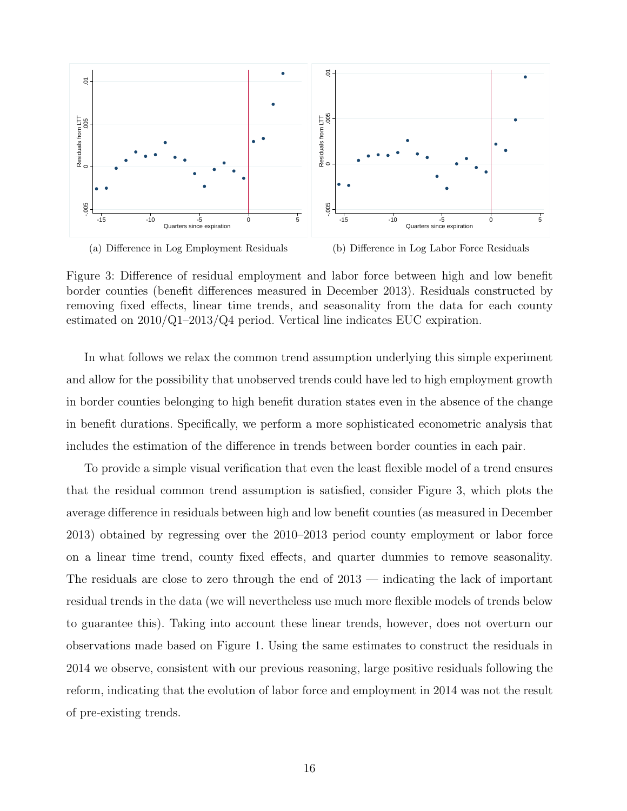

(a) Difference in Log Employment Residuals

(b) Difference in Log Labor Force Residuals

Figure 3: Difference of residual employment and labor force between high and low benefit border counties (benefit differences measured in December 2013). Residuals constructed by removing fixed effects, linear time trends, and seasonality from the data for each county estimated on  $2010/Q1-2013/Q4$  period. Vertical line indicates EUC expiration.

In what follows we relax the common trend assumption underlying this simple experiment and allow for the possibility that unobserved trends could have led to high employment growth in border counties belonging to high benefit duration states even in the absence of the change in benefit durations. Specifically, we perform a more sophisticated econometric analysis that includes the estimation of the difference in trends between border counties in each pair.

To provide a simple visual verification that even the least flexible model of a trend ensures that the residual common trend assumption is satisfied, consider Figure 3, which plots the average difference in residuals between high and low benefit counties (as measured in December 2013) obtained by regressing over the 2010–2013 period county employment or labor force on a linear time trend, county fixed effects, and quarter dummies to remove seasonality. The residuals are close to zero through the end of  $2013$  — indicating the lack of important residual trends in the data (we will nevertheless use much more flexible models of trends below to guarantee this). Taking into account these linear trends, however, does not overturn our observations made based on Figure 1. Using the same estimates to construct the residuals in 2014 we observe, consistent with our previous reasoning, large positive residuals following the reform, indicating that the evolution of labor force and employment in 2014 was not the result of pre-existing trends.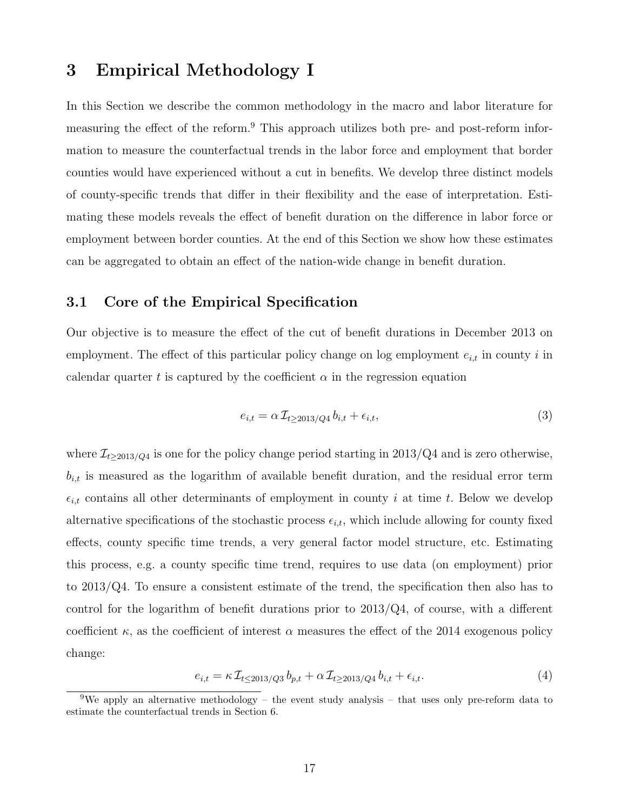### 3 Empirical Methodology I

In this Section we describe the common methodology in the macro and labor literature for measuring the effect of the reform.<sup>9</sup> This approach utilizes both pre- and post-reform information to measure the counterfactual trends in the labor force and employment that border counties would have experienced without a cut in benefits. We develop three distinct models of county-specific trends that differ in their flexibility and the ease of interpretation. Estimating these models reveals the effect of benefit duration on the difference in labor force or employment between border counties. At the end of this Section we show how these estimates can be aggregated to obtain an effect of the nation-wide change in benefit duration.

#### 3.1 Core of the Empirical Specification

Our objective is to measure the effect of the cut of benefit durations in December 2013 on employment. The effect of this particular policy change on log employment  $e_{i,t}$  in county i in calendar quarter t is captured by the coefficient  $\alpha$  in the regression equation

$$
e_{i,t} = \alpha \mathcal{I}_{t \ge 2013/Q4} b_{i,t} + \epsilon_{i,t},\tag{3}
$$

where  $\mathcal{I}_{t\geq 2013/Q4}$  is one for the policy change period starting in 2013/Q4 and is zero otherwise,  $b_{i,t}$  is measured as the logarithm of available benefit duration, and the residual error term  $\epsilon_{i,t}$  contains all other determinants of employment in county i at time t. Below we develop alternative specifications of the stochastic process  $\epsilon_{i,t}$ , which include allowing for county fixed effects, county specific time trends, a very general factor model structure, etc. Estimating this process, e.g. a county specific time trend, requires to use data (on employment) prior to 2013/Q4. To ensure a consistent estimate of the trend, the specification then also has to control for the logarithm of benefit durations prior to  $2013/Q4$ , of course, with a different coefficient  $\kappa$ , as the coefficient of interest  $\alpha$  measures the effect of the 2014 exogenous policy change:

$$
e_{i,t} = \kappa \mathcal{I}_{t \le 2013/Q3} b_{p,t} + \alpha \mathcal{I}_{t \ge 2013/Q4} b_{i,t} + \epsilon_{i,t}.
$$
\n
$$
\tag{4}
$$

<sup>&</sup>lt;sup>9</sup>We apply an alternative methodology – the event study analysis – that uses only pre-reform data to estimate the counterfactual trends in Section 6.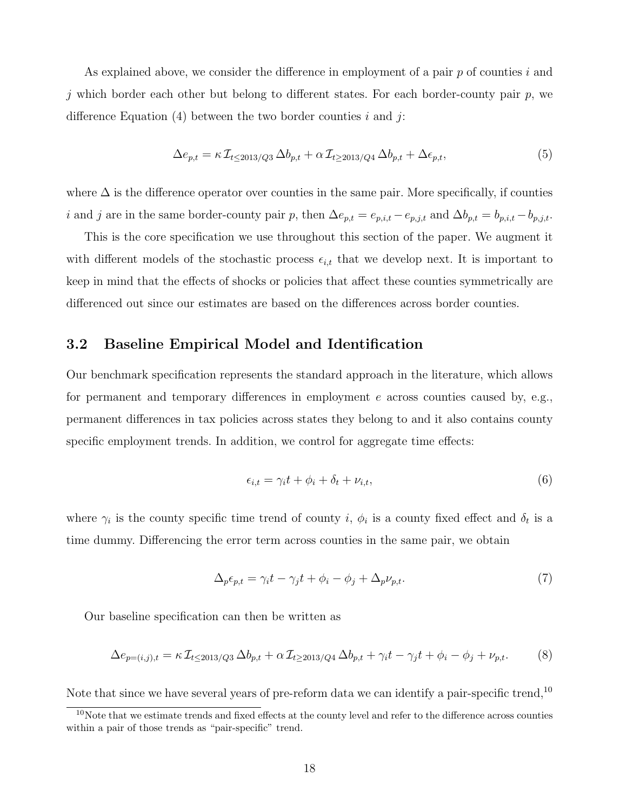As explained above, we consider the difference in employment of a pair  $p$  of counties  $i$  and j which border each other but belong to different states. For each border-county pair  $p$ , we difference Equation  $(4)$  between the two border counties i and j:

$$
\Delta e_{p,t} = \kappa \mathcal{I}_{t \le 2013/Q3} \Delta b_{p,t} + \alpha \mathcal{I}_{t \ge 2013/Q4} \Delta b_{p,t} + \Delta \epsilon_{p,t},\tag{5}
$$

where  $\Delta$  is the difference operator over counties in the same pair. More specifically, if counties i and j are in the same border-county pair p, then  $\Delta e_{p,t} = e_{p,i,t} - e_{p,j,t}$  and  $\Delta b_{p,t} = b_{p,i,t} - b_{p,j,t}$ .

This is the core specification we use throughout this section of the paper. We augment it with different models of the stochastic process  $\epsilon_{i,t}$  that we develop next. It is important to keep in mind that the effects of shocks or policies that affect these counties symmetrically are differenced out since our estimates are based on the differences across border counties.

#### 3.2 Baseline Empirical Model and Identification

Our benchmark specification represents the standard approach in the literature, which allows for permanent and temporary differences in employment  $e$  across counties caused by, e.g., permanent differences in tax policies across states they belong to and it also contains county specific employment trends. In addition, we control for aggregate time effects:

$$
\epsilon_{i,t} = \gamma_i t + \phi_i + \delta_t + \nu_{i,t},\tag{6}
$$

where  $\gamma_i$  is the county specific time trend of county i,  $\phi_i$  is a county fixed effect and  $\delta_t$  is a time dummy. Differencing the error term across counties in the same pair, we obtain

$$
\Delta_p \epsilon_{p,t} = \gamma_i t - \gamma_j t + \phi_i - \phi_j + \Delta_p \nu_{p,t}.
$$
\n<sup>(7)</sup>

Our baseline specification can then be written as

$$
\Delta e_{p=(i,j),t} = \kappa \mathcal{I}_{t \le 2013/Q3} \Delta b_{p,t} + \alpha \mathcal{I}_{t \ge 2013/Q4} \Delta b_{p,t} + \gamma_i t - \gamma_j t + \phi_i - \phi_j + \nu_{p,t}.
$$
 (8)

Note that since we have several years of pre-reform data we can identify a pair-specific trend,  $10$ 

<sup>&</sup>lt;sup>10</sup>Note that we estimate trends and fixed effects at the county level and refer to the difference across counties within a pair of those trends as "pair-specific" trend.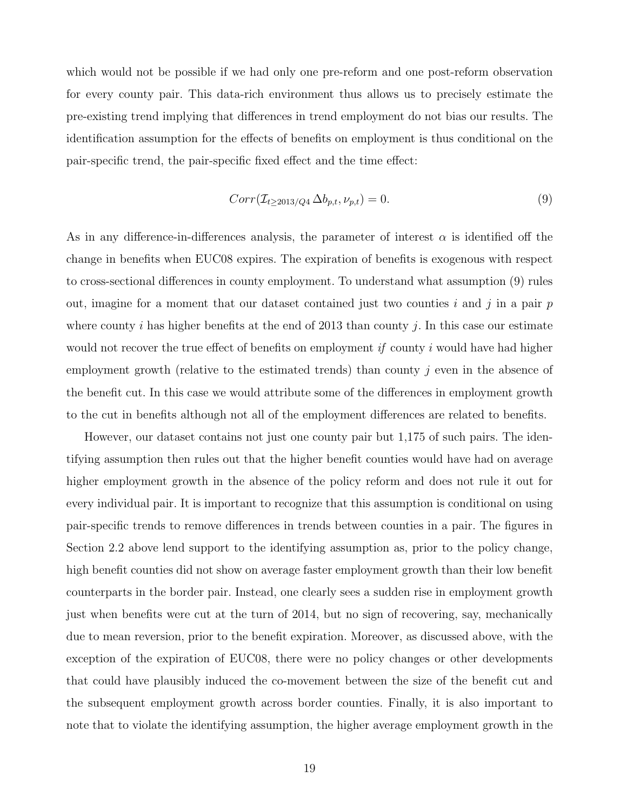which would not be possible if we had only one pre-reform and one post-reform observation for every county pair. This data-rich environment thus allows us to precisely estimate the pre-existing trend implying that differences in trend employment do not bias our results. The identification assumption for the effects of benefits on employment is thus conditional on the pair-specific trend, the pair-specific fixed effect and the time effect:

$$
Corr(\mathcal{I}_{t \ge 2013/Q4} \Delta b_{p,t}, \nu_{p,t}) = 0.
$$
\n
$$
(9)
$$

As in any difference-in-differences analysis, the parameter of interest  $\alpha$  is identified off the change in benefits when EUC08 expires. The expiration of benefits is exogenous with respect to cross-sectional differences in county employment. To understand what assumption (9) rules out, imagine for a moment that our dataset contained just two counties  $i$  and  $j$  in a pair  $p$ where county i has higher benefits at the end of 2013 than county j. In this case our estimate would not recover the true effect of benefits on employment if county i would have had higher employment growth (relative to the estimated trends) than county  $j$  even in the absence of the benefit cut. In this case we would attribute some of the differences in employment growth to the cut in benefits although not all of the employment differences are related to benefits.

However, our dataset contains not just one county pair but 1,175 of such pairs. The identifying assumption then rules out that the higher benefit counties would have had on average higher employment growth in the absence of the policy reform and does not rule it out for every individual pair. It is important to recognize that this assumption is conditional on using pair-specific trends to remove differences in trends between counties in a pair. The figures in Section 2.2 above lend support to the identifying assumption as, prior to the policy change, high benefit counties did not show on average faster employment growth than their low benefit counterparts in the border pair. Instead, one clearly sees a sudden rise in employment growth just when benefits were cut at the turn of 2014, but no sign of recovering, say, mechanically due to mean reversion, prior to the benefit expiration. Moreover, as discussed above, with the exception of the expiration of EUC08, there were no policy changes or other developments that could have plausibly induced the co-movement between the size of the benefit cut and the subsequent employment growth across border counties. Finally, it is also important to note that to violate the identifying assumption, the higher average employment growth in the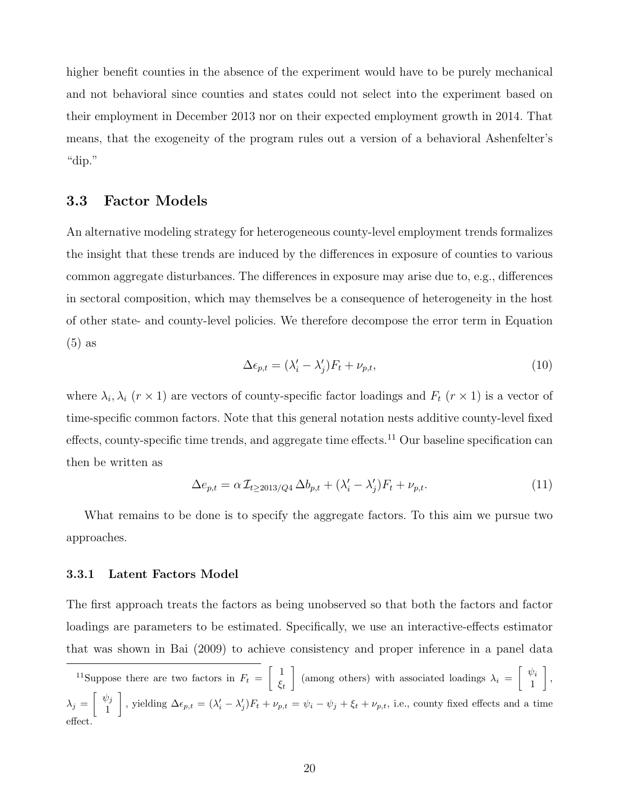higher benefit counties in the absence of the experiment would have to be purely mechanical and not behavioral since counties and states could not select into the experiment based on their employment in December 2013 nor on their expected employment growth in 2014. That means, that the exogeneity of the program rules out a version of a behavioral Ashenfelter's "dip."

#### 3.3 Factor Models

An alternative modeling strategy for heterogeneous county-level employment trends formalizes the insight that these trends are induced by the differences in exposure of counties to various common aggregate disturbances. The differences in exposure may arise due to, e.g., differences in sectoral composition, which may themselves be a consequence of heterogeneity in the host of other state- and county-level policies. We therefore decompose the error term in Equation (5) as

$$
\Delta \epsilon_{p,t} = (\lambda_i' - \lambda_j') F_t + \nu_{p,t}, \qquad (10)
$$

where  $\lambda_i, \lambda_i$  ( $r \times 1$ ) are vectors of county-specific factor loadings and  $F_t$  ( $r \times 1$ ) is a vector of time-specific common factors. Note that this general notation nests additive county-level fixed effects, county-specific time trends, and aggregate time effects.<sup>11</sup> Our baseline specification can then be written as

$$
\Delta e_{p,t} = \alpha \mathcal{I}_{t \ge 2013/Q4} \Delta b_{p,t} + (\lambda_i' - \lambda_j') F_t + \nu_{p,t}.
$$
\n(11)

What remains to be done is to specify the aggregate factors. To this aim we pursue two approaches.

#### 3.3.1 Latent Factors Model

The first approach treats the factors as being unobserved so that both the factors and factor loadings are parameters to be estimated. Specifically, we use an interactive-effects estimator that was shown in Bai (2009) to achieve consistency and proper inference in a panel data

<sup>11</sup>Suppose there are two factors in  $F_t = \begin{bmatrix} 1 \\ 1 \end{bmatrix}$  $\xi_t$ (among others) with associated loadings  $\lambda_i = \begin{bmatrix} \psi_i \\ 1 \end{bmatrix}$ 1 ,  $\lambda_j = \begin{bmatrix} \psi_j \\ 1 \end{bmatrix}$ 1 , yielding  $\Delta \epsilon_{p,t} = (\lambda_i' - \lambda_j')F_t + \nu_{p,t} = \psi_i - \psi_j + \xi_t + \nu_{p,t}$ , i.e., county fixed effects and a time effect.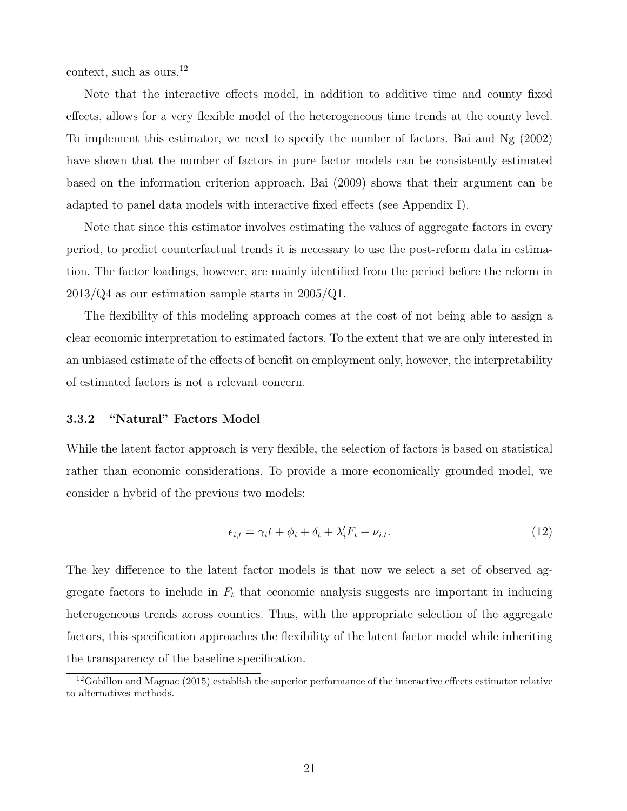context, such as ours. $^{12}$ 

Note that the interactive effects model, in addition to additive time and county fixed effects, allows for a very flexible model of the heterogeneous time trends at the county level. To implement this estimator, we need to specify the number of factors. Bai and Ng (2002) have shown that the number of factors in pure factor models can be consistently estimated based on the information criterion approach. Bai (2009) shows that their argument can be adapted to panel data models with interactive fixed effects (see Appendix I).

Note that since this estimator involves estimating the values of aggregate factors in every period, to predict counterfactual trends it is necessary to use the post-reform data in estimation. The factor loadings, however, are mainly identified from the period before the reform in 2013/Q4 as our estimation sample starts in 2005/Q1.

The flexibility of this modeling approach comes at the cost of not being able to assign a clear economic interpretation to estimated factors. To the extent that we are only interested in an unbiased estimate of the effects of benefit on employment only, however, the interpretability of estimated factors is not a relevant concern.

#### 3.3.2 "Natural" Factors Model

While the latent factor approach is very flexible, the selection of factors is based on statistical rather than economic considerations. To provide a more economically grounded model, we consider a hybrid of the previous two models:

$$
\epsilon_{i,t} = \gamma_i t + \phi_i + \delta_t + \lambda_i' F_t + \nu_{i,t}.
$$
\n(12)

The key difference to the latent factor models is that now we select a set of observed aggregate factors to include in  $F_t$  that economic analysis suggests are important in inducing heterogeneous trends across counties. Thus, with the appropriate selection of the aggregate factors, this specification approaches the flexibility of the latent factor model while inheriting the transparency of the baseline specification.

 $12$ Gobillon and Magnac (2015) establish the superior performance of the interactive effects estimator relative to alternatives methods.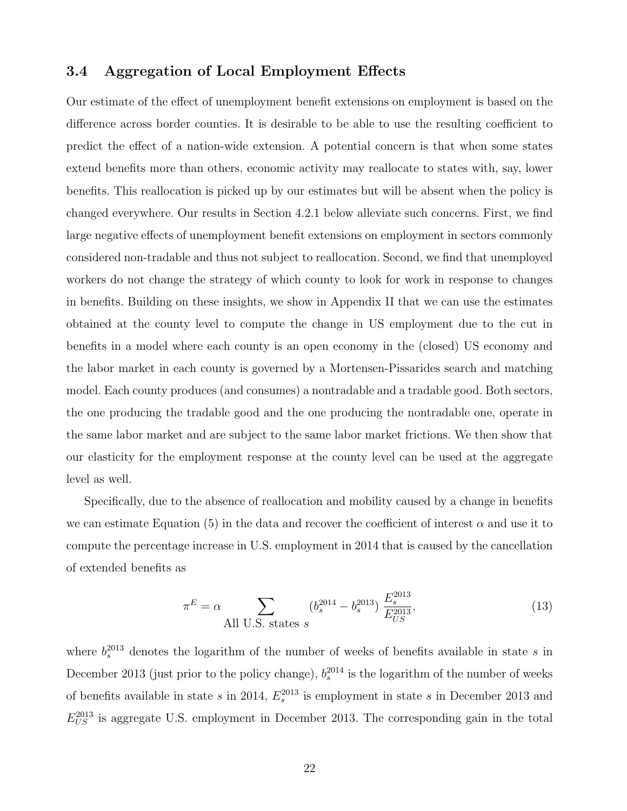#### 3.4 Aggregation of Local Employment Effects

Our estimate of the effect of unemployment benefit extensions on employment is based on the difference across border counties. It is desirable to be able to use the resulting coefficient to predict the effect of a nation-wide extension. A potential concern is that when some states extend benefits more than others, economic activity may reallocate to states with, say, lower benefits. This reallocation is picked up by our estimates but will be absent when the policy is changed everywhere. Our results in Section 4.2.1 below alleviate such concerns. First, we find large negative effects of unemployment benefit extensions on employment in sectors commonly considered non-tradable and thus not subject to reallocation. Second, we find that unemployed workers do not change the strategy of which county to look for work in response to changes in benefits. Building on these insights, we show in Appendix II that we can use the estimates obtained at the county level to compute the change in US employment due to the cut in benefits in a model where each county is an open economy in the (closed) US economy and the labor market in each county is governed by a Mortensen-Pissarides search and matching model. Each county produces (and consumes) a nontradable and a tradable good. Both sectors, the one producing the tradable good and the one producing the nontradable one, operate in the same labor market and are subject to the same labor market frictions. We then show that our elasticity for the employment response at the county level can be used at the aggregate level as well.

Specifically, due to the absence of reallocation and mobility caused by a change in benefits we can estimate Equation (5) in the data and recover the coefficient of interest  $\alpha$  and use it to compute the percentage increase in U.S. employment in 2014 that is caused by the cancellation of extended benefits as

$$
\pi^{E} = \alpha \sum_{\text{All U.S. states } s} (b_s^{2014} - b_s^{2013}) \frac{E_s^{2013}}{E_{US}^{2013}},\tag{13}
$$

where  $b_s^{2013}$  denotes the logarithm of the number of weeks of benefits available in state s in December 2013 (just prior to the policy change),  $b_s^{2014}$  is the logarithm of the number of weeks of benefits available in state s in 2014,  $E_s^{2013}$  is employment in state s in December 2013 and  $E_{US}^{2013}$  is aggregate U.S. employment in December 2013. The corresponding gain in the total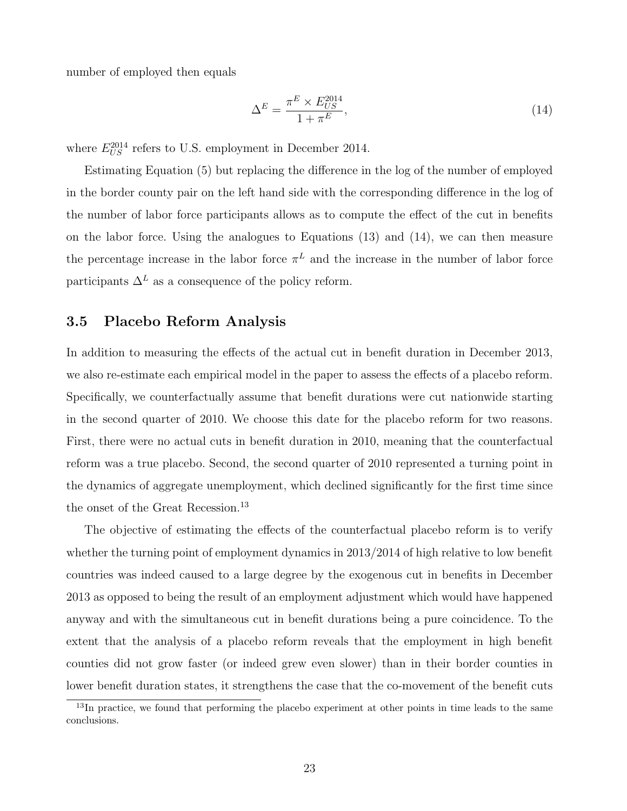number of employed then equals

$$
\Delta^E = \frac{\pi^E \times E_{US}^{2014}}{1 + \pi^E},\tag{14}
$$

where  $E_{US}^{2014}$  refers to U.S. employment in December 2014.

Estimating Equation (5) but replacing the difference in the log of the number of employed in the border county pair on the left hand side with the corresponding difference in the log of the number of labor force participants allows as to compute the effect of the cut in benefits on the labor force. Using the analogues to Equations (13) and (14), we can then measure the percentage increase in the labor force  $\pi^L$  and the increase in the number of labor force participants  $\Delta^L$  as a consequence of the policy reform.

#### 3.5 Placebo Reform Analysis

In addition to measuring the effects of the actual cut in benefit duration in December 2013, we also re-estimate each empirical model in the paper to assess the effects of a placebo reform. Specifically, we counterfactually assume that benefit durations were cut nationwide starting in the second quarter of 2010. We choose this date for the placebo reform for two reasons. First, there were no actual cuts in benefit duration in 2010, meaning that the counterfactual reform was a true placebo. Second, the second quarter of 2010 represented a turning point in the dynamics of aggregate unemployment, which declined significantly for the first time since the onset of the Great Recession.<sup>13</sup>

The objective of estimating the effects of the counterfactual placebo reform is to verify whether the turning point of employment dynamics in 2013/2014 of high relative to low benefit countries was indeed caused to a large degree by the exogenous cut in benefits in December 2013 as opposed to being the result of an employment adjustment which would have happened anyway and with the simultaneous cut in benefit durations being a pure coincidence. To the extent that the analysis of a placebo reform reveals that the employment in high benefit counties did not grow faster (or indeed grew even slower) than in their border counties in lower benefit duration states, it strengthens the case that the co-movement of the benefit cuts

<sup>&</sup>lt;sup>13</sup>In practice, we found that performing the placebo experiment at other points in time leads to the same conclusions.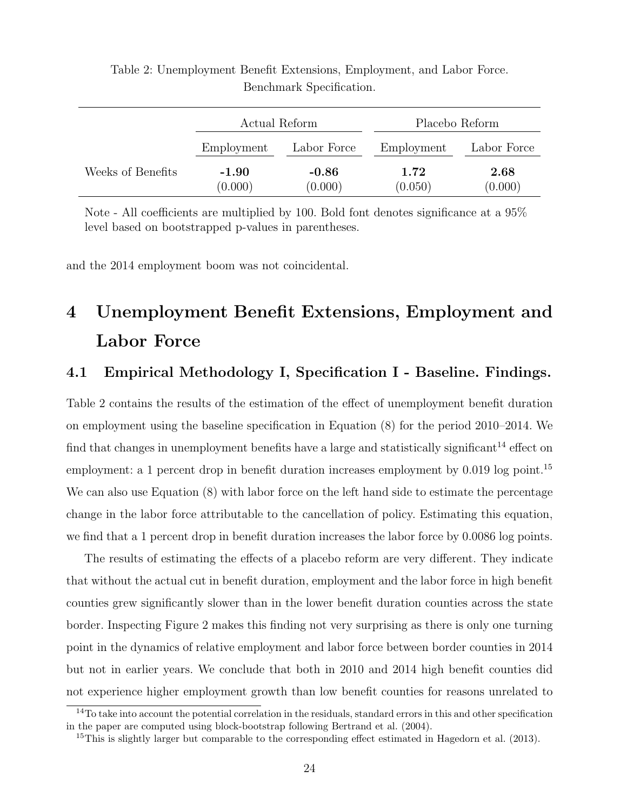|                   | Actual Reform      |                    | Placebo Reform  |                 |
|-------------------|--------------------|--------------------|-----------------|-----------------|
|                   | Employment         | Labor Force        | Employment      | Labor Force     |
| Weeks of Benefits | $-1.90$<br>(0.000) | $-0.86$<br>(0.000) | 1.72<br>(0.050) | 2.68<br>(0.000) |

Table 2: Unemployment Benefit Extensions, Employment, and Labor Force. Benchmark Specification.

Note - All coefficients are multiplied by 100. Bold font denotes significance at a 95% level based on bootstrapped p-values in parentheses.

and the 2014 employment boom was not coincidental.

# 4 Unemployment Benefit Extensions, Employment and Labor Force

#### 4.1 Empirical Methodology I, Specification I - Baseline. Findings.

Table 2 contains the results of the estimation of the effect of unemployment benefit duration on employment using the baseline specification in Equation (8) for the period 2010–2014. We find that changes in unemployment benefits have a large and statistically significant<sup>14</sup> effect on employment: a 1 percent drop in benefit duration increases employment by 0.019 log point.<sup>15</sup> We can also use Equation (8) with labor force on the left hand side to estimate the percentage change in the labor force attributable to the cancellation of policy. Estimating this equation, we find that a 1 percent drop in benefit duration increases the labor force by 0.0086 log points.

The results of estimating the effects of a placebo reform are very different. They indicate that without the actual cut in benefit duration, employment and the labor force in high benefit counties grew significantly slower than in the lower benefit duration counties across the state border. Inspecting Figure 2 makes this finding not very surprising as there is only one turning point in the dynamics of relative employment and labor force between border counties in 2014 but not in earlier years. We conclude that both in 2010 and 2014 high benefit counties did not experience higher employment growth than low benefit counties for reasons unrelated to

 $14$ To take into account the potential correlation in the residuals, standard errors in this and other specification in the paper are computed using block-bootstrap following Bertrand et al. (2004).

<sup>&</sup>lt;sup>15</sup>This is slightly larger but comparable to the corresponding effect estimated in Hagedorn et al. (2013).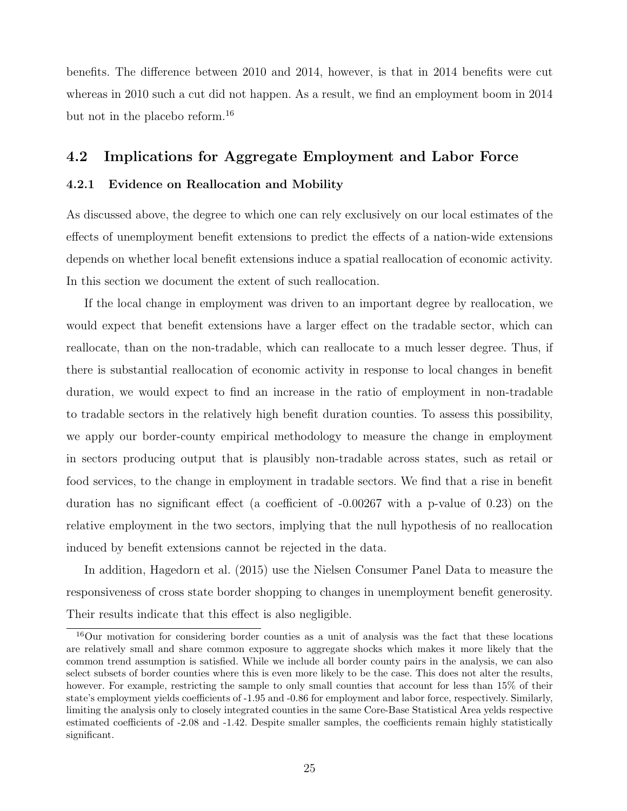benefits. The difference between 2010 and 2014, however, is that in 2014 benefits were cut whereas in 2010 such a cut did not happen. As a result, we find an employment boom in 2014 but not in the placebo reform.<sup>16</sup>

#### 4.2 Implications for Aggregate Employment and Labor Force

#### 4.2.1 Evidence on Reallocation and Mobility

As discussed above, the degree to which one can rely exclusively on our local estimates of the effects of unemployment benefit extensions to predict the effects of a nation-wide extensions depends on whether local benefit extensions induce a spatial reallocation of economic activity. In this section we document the extent of such reallocation.

If the local change in employment was driven to an important degree by reallocation, we would expect that benefit extensions have a larger effect on the tradable sector, which can reallocate, than on the non-tradable, which can reallocate to a much lesser degree. Thus, if there is substantial reallocation of economic activity in response to local changes in benefit duration, we would expect to find an increase in the ratio of employment in non-tradable to tradable sectors in the relatively high benefit duration counties. To assess this possibility, we apply our border-county empirical methodology to measure the change in employment in sectors producing output that is plausibly non-tradable across states, such as retail or food services, to the change in employment in tradable sectors. We find that a rise in benefit duration has no significant effect (a coefficient of -0.00267 with a p-value of 0.23) on the relative employment in the two sectors, implying that the null hypothesis of no reallocation induced by benefit extensions cannot be rejected in the data.

In addition, Hagedorn et al. (2015) use the Nielsen Consumer Panel Data to measure the responsiveness of cross state border shopping to changes in unemployment benefit generosity. Their results indicate that this effect is also negligible.

<sup>16</sup>Our motivation for considering border counties as a unit of analysis was the fact that these locations are relatively small and share common exposure to aggregate shocks which makes it more likely that the common trend assumption is satisfied. While we include all border county pairs in the analysis, we can also select subsets of border counties where this is even more likely to be the case. This does not alter the results, however. For example, restricting the sample to only small counties that account for less than 15% of their state's employment yields coefficients of -1.95 and -0.86 for employment and labor force, respectively. Similarly, limiting the analysis only to closely integrated counties in the same Core-Base Statistical Area yelds respective estimated coefficients of -2.08 and -1.42. Despite smaller samples, the coefficients remain highly statistically significant.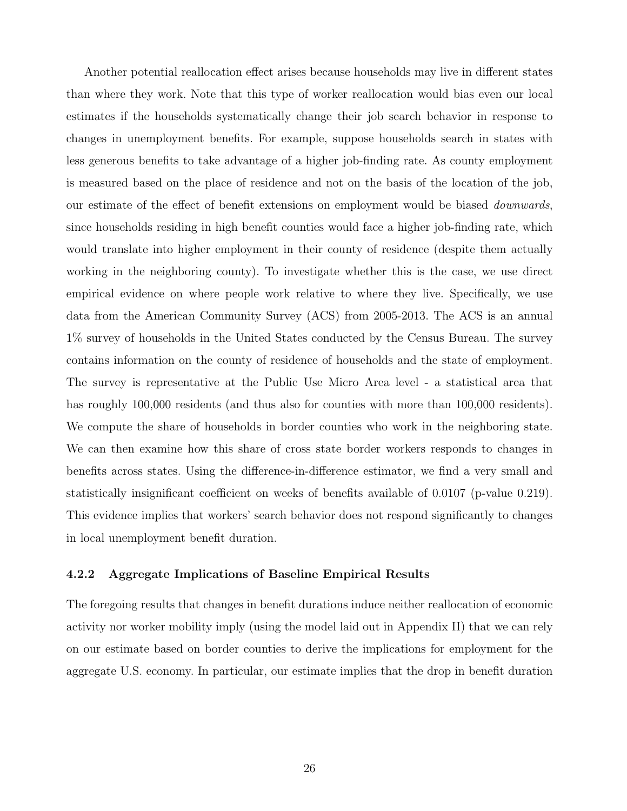Another potential reallocation effect arises because households may live in different states than where they work. Note that this type of worker reallocation would bias even our local estimates if the households systematically change their job search behavior in response to changes in unemployment benefits. For example, suppose households search in states with less generous benefits to take advantage of a higher job-finding rate. As county employment is measured based on the place of residence and not on the basis of the location of the job, our estimate of the effect of benefit extensions on employment would be biased downwards, since households residing in high benefit counties would face a higher job-finding rate, which would translate into higher employment in their county of residence (despite them actually working in the neighboring county). To investigate whether this is the case, we use direct empirical evidence on where people work relative to where they live. Specifically, we use data from the American Community Survey (ACS) from 2005-2013. The ACS is an annual 1% survey of households in the United States conducted by the Census Bureau. The survey contains information on the county of residence of households and the state of employment. The survey is representative at the Public Use Micro Area level - a statistical area that has roughly 100,000 residents (and thus also for counties with more than 100,000 residents). We compute the share of households in border counties who work in the neighboring state. We can then examine how this share of cross state border workers responds to changes in benefits across states. Using the difference-in-difference estimator, we find a very small and statistically insignificant coefficient on weeks of benefits available of 0.0107 (p-value 0.219). This evidence implies that workers' search behavior does not respond significantly to changes in local unemployment benefit duration.

#### 4.2.2 Aggregate Implications of Baseline Empirical Results

The foregoing results that changes in benefit durations induce neither reallocation of economic activity nor worker mobility imply (using the model laid out in Appendix II) that we can rely on our estimate based on border counties to derive the implications for employment for the aggregate U.S. economy. In particular, our estimate implies that the drop in benefit duration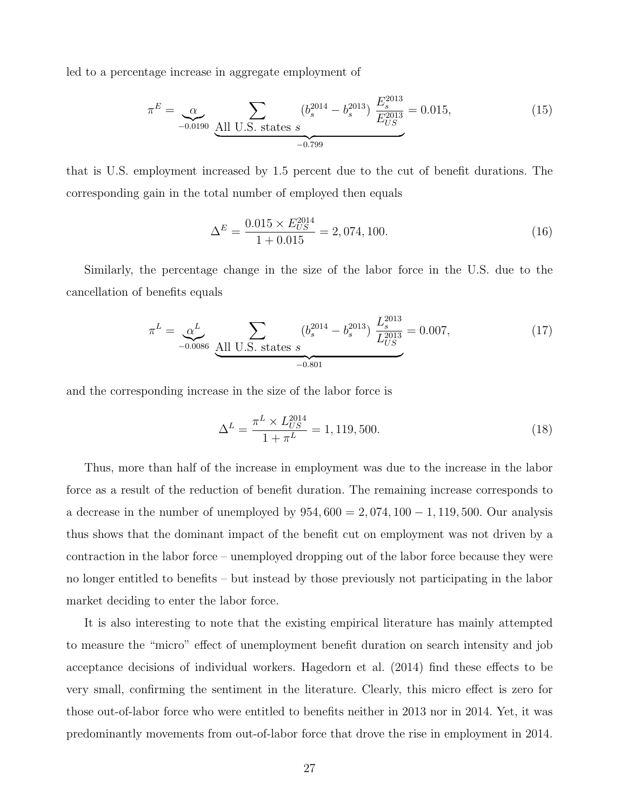led to a percentage increase in aggregate employment of

$$
\pi^{E} = \underbrace{\alpha}_{-0.0190} \underbrace{\sum_{\text{All U.S. states } s} (b_s^{2014} - b_s^{2013})}_{-0.799} \underbrace{E_s^{2013}}_{E_{US}^{2013}} = 0.015, \tag{15}
$$

that is U.S. employment increased by 1.5 percent due to the cut of benefit durations. The corresponding gain in the total number of employed then equals

$$
\Delta^{E} = \frac{0.015 \times E_{US}^{2014}}{1 + 0.015} = 2,074,100.
$$
\n(16)

Similarly, the percentage change in the size of the labor force in the U.S. due to the cancellation of benefits equals

$$
\pi^{L} = \underbrace{\alpha^{L}}_{-0.0086} \underbrace{\text{All U.S. states s}}_{-0.801} \underbrace{(b_s^{2014} - b_s^{2013})}_{-0.801} \underbrace{L_s^{2013}}_{Z_{US}^{2013}} = 0.007, \tag{17}
$$

and the corresponding increase in the size of the labor force is

$$
\Delta^{L} = \frac{\pi^{L} \times L_{US}^{2014}}{1 + \pi^{L}} = 1,119,500.
$$
\n(18)

Thus, more than half of the increase in employment was due to the increase in the labor force as a result of the reduction of benefit duration. The remaining increase corresponds to a decrease in the number of unemployed by  $954,600 = 2,074,100 - 1,119,500$ . Our analysis thus shows that the dominant impact of the benefit cut on employment was not driven by a contraction in the labor force – unemployed dropping out of the labor force because they were no longer entitled to benefits – but instead by those previously not participating in the labor market deciding to enter the labor force.

It is also interesting to note that the existing empirical literature has mainly attempted to measure the "micro" effect of unemployment benefit duration on search intensity and job acceptance decisions of individual workers. Hagedorn et al. (2014) find these effects to be very small, confirming the sentiment in the literature. Clearly, this micro effect is zero for those out-of-labor force who were entitled to benefits neither in 2013 nor in 2014. Yet, it was predominantly movements from out-of-labor force that drove the rise in employment in 2014.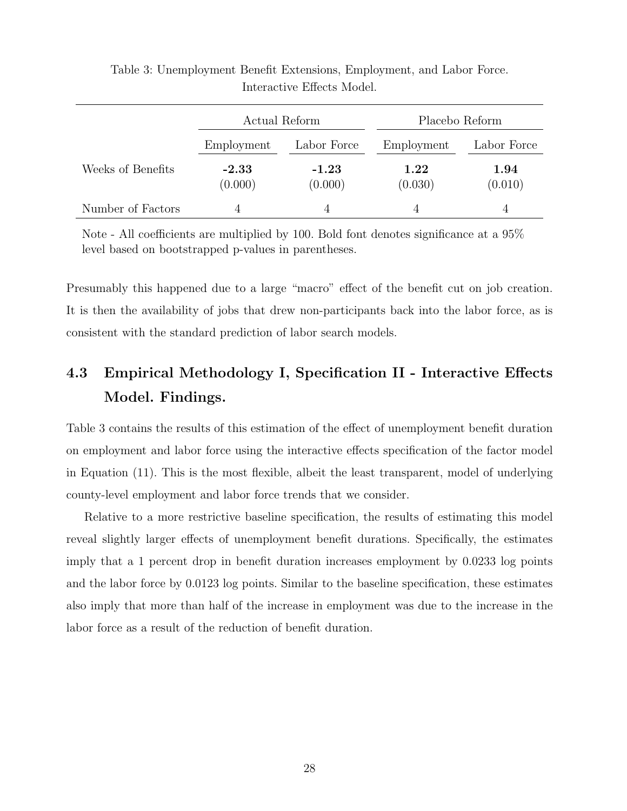|                   | Actual Reform      |                    | Placebo Reform      |                 |
|-------------------|--------------------|--------------------|---------------------|-----------------|
|                   | Employment         | Labor Force        | Employment          | Labor Force     |
| Weeks of Benefits | $-2.33$<br>(0.000) | $-1.23$<br>(0.000) | $1.22\,$<br>(0.030) | 1.94<br>(0.010) |
| Number of Factors |                    |                    |                     |                 |

Table 3: Unemployment Benefit Extensions, Employment, and Labor Force. Interactive Effects Model.

Note - All coefficients are multiplied by 100. Bold font denotes significance at a 95% level based on bootstrapped p-values in parentheses.

Presumably this happened due to a large "macro" effect of the benefit cut on job creation. It is then the availability of jobs that drew non-participants back into the labor force, as is consistent with the standard prediction of labor search models.

## 4.3 Empirical Methodology I, Specification II - Interactive Effects Model. Findings.

Table 3 contains the results of this estimation of the effect of unemployment benefit duration on employment and labor force using the interactive effects specification of the factor model in Equation (11). This is the most flexible, albeit the least transparent, model of underlying county-level employment and labor force trends that we consider.

Relative to a more restrictive baseline specification, the results of estimating this model reveal slightly larger effects of unemployment benefit durations. Specifically, the estimates imply that a 1 percent drop in benefit duration increases employment by 0.0233 log points and the labor force by 0.0123 log points. Similar to the baseline specification, these estimates also imply that more than half of the increase in employment was due to the increase in the labor force as a result of the reduction of benefit duration.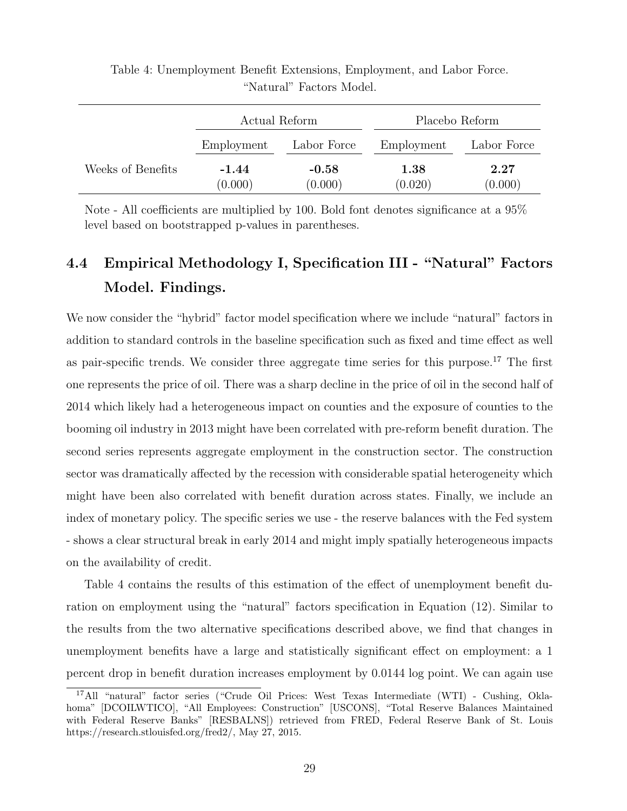|                   | Actual Reform      |                    | Placebo Reform      |                 |
|-------------------|--------------------|--------------------|---------------------|-----------------|
|                   | Employment         | Labor Force        | Employment          | Labor Force     |
| Weeks of Benefits | $-1.44$<br>(0.000) | $-0.58$<br>(0.000) | $1.38\,$<br>(0.020) | 2.27<br>(0.000) |

Table 4: Unemployment Benefit Extensions, Employment, and Labor Force. "Natural" Factors Model.

Note - All coefficients are multiplied by 100. Bold font denotes significance at a 95% level based on bootstrapped p-values in parentheses.

# 4.4 Empirical Methodology I, Specification III - "Natural" Factors Model. Findings.

We now consider the "hybrid" factor model specification where we include "natural" factors in addition to standard controls in the baseline specification such as fixed and time effect as well as pair-specific trends. We consider three aggregate time series for this purpose.<sup>17</sup> The first one represents the price of oil. There was a sharp decline in the price of oil in the second half of 2014 which likely had a heterogeneous impact on counties and the exposure of counties to the booming oil industry in 2013 might have been correlated with pre-reform benefit duration. The second series represents aggregate employment in the construction sector. The construction sector was dramatically affected by the recession with considerable spatial heterogeneity which might have been also correlated with benefit duration across states. Finally, we include an index of monetary policy. The specific series we use - the reserve balances with the Fed system - shows a clear structural break in early 2014 and might imply spatially heterogeneous impacts on the availability of credit.

Table 4 contains the results of this estimation of the effect of unemployment benefit duration on employment using the "natural" factors specification in Equation (12). Similar to the results from the two alternative specifications described above, we find that changes in unemployment benefits have a large and statistically significant effect on employment: a 1 percent drop in benefit duration increases employment by 0.0144 log point. We can again use

<sup>17</sup>All "natural" factor series ("Crude Oil Prices: West Texas Intermediate (WTI) - Cushing, Oklahoma" [DCOILWTICO], "All Employees: Construction" [USCONS], "Total Reserve Balances Maintained with Federal Reserve Banks" [RESBALNS]) retrieved from FRED, Federal Reserve Bank of St. Louis https://research.stlouisfed.org/fred2/, May 27, 2015.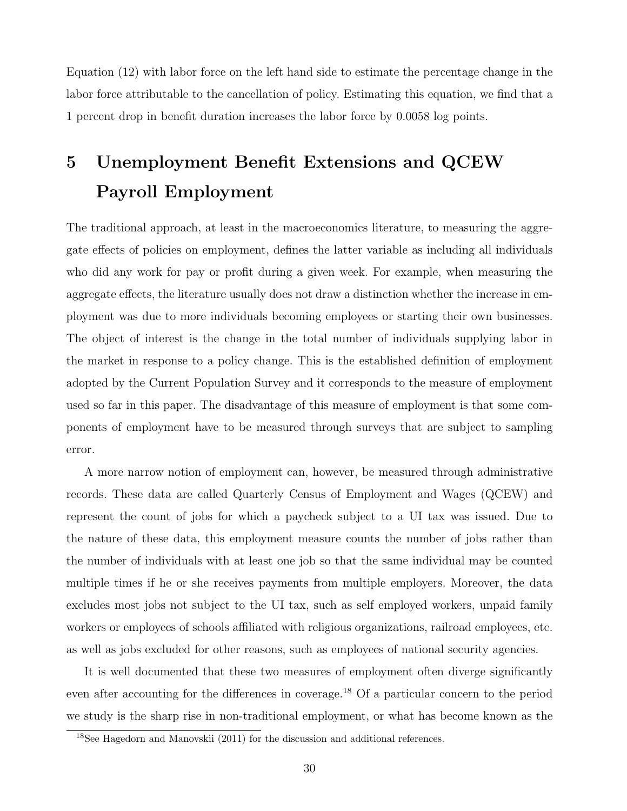Equation (12) with labor force on the left hand side to estimate the percentage change in the labor force attributable to the cancellation of policy. Estimating this equation, we find that a 1 percent drop in benefit duration increases the labor force by 0.0058 log points.

# 5 Unemployment Benefit Extensions and QCEW Payroll Employment

The traditional approach, at least in the macroeconomics literature, to measuring the aggregate effects of policies on employment, defines the latter variable as including all individuals who did any work for pay or profit during a given week. For example, when measuring the aggregate effects, the literature usually does not draw a distinction whether the increase in employment was due to more individuals becoming employees or starting their own businesses. The object of interest is the change in the total number of individuals supplying labor in the market in response to a policy change. This is the established definition of employment adopted by the Current Population Survey and it corresponds to the measure of employment used so far in this paper. The disadvantage of this measure of employment is that some components of employment have to be measured through surveys that are subject to sampling error.

A more narrow notion of employment can, however, be measured through administrative records. These data are called Quarterly Census of Employment and Wages (QCEW) and represent the count of jobs for which a paycheck subject to a UI tax was issued. Due to the nature of these data, this employment measure counts the number of jobs rather than the number of individuals with at least one job so that the same individual may be counted multiple times if he or she receives payments from multiple employers. Moreover, the data excludes most jobs not subject to the UI tax, such as self employed workers, unpaid family workers or employees of schools affiliated with religious organizations, railroad employees, etc. as well as jobs excluded for other reasons, such as employees of national security agencies.

It is well documented that these two measures of employment often diverge significantly even after accounting for the differences in coverage.<sup>18</sup> Of a particular concern to the period we study is the sharp rise in non-traditional employment, or what has become known as the

<sup>18</sup>See Hagedorn and Manovskii (2011) for the discussion and additional references.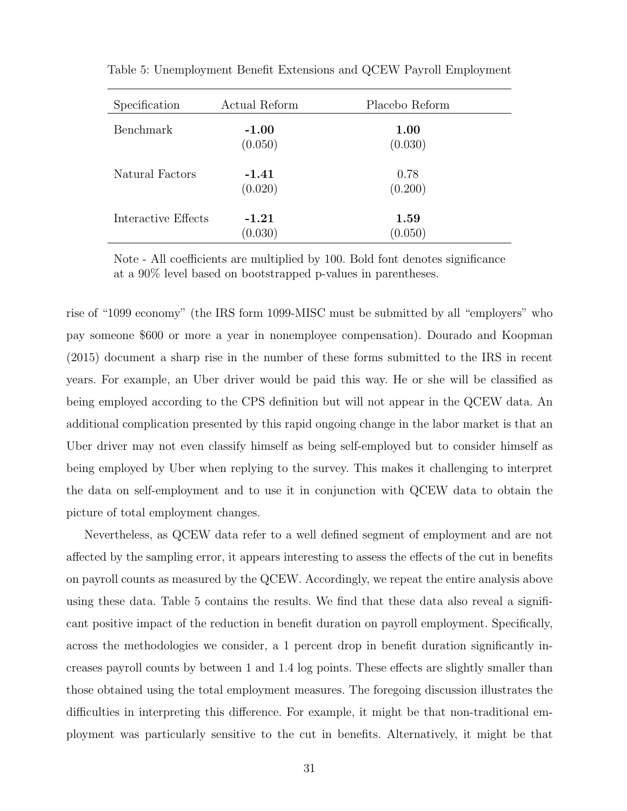| Specification       | Actual Reform      | Placebo Reform         |
|---------------------|--------------------|------------------------|
| <b>Benchmark</b>    | $-1.00$<br>(0.050) | <b>1.00</b><br>(0.030) |
| Natural Factors     | $-1.41$<br>(0.020) | 0.78<br>(0.200)        |
| Interactive Effects | $-1.21$<br>(0.030) | 1.59<br>(0.050)        |

Table 5: Unemployment Benefit Extensions and QCEW Payroll Employment

Note - All coefficients are multiplied by 100. Bold font denotes significance at a 90% level based on bootstrapped p-values in parentheses.

rise of "1099 economy" (the IRS form 1099-MISC must be submitted by all "employers" who pay someone \$600 or more a year in nonemployee compensation). Dourado and Koopman (2015) document a sharp rise in the number of these forms submitted to the IRS in recent years. For example, an Uber driver would be paid this way. He or she will be classified as being employed according to the CPS definition but will not appear in the QCEW data. An additional complication presented by this rapid ongoing change in the labor market is that an Uber driver may not even classify himself as being self-employed but to consider himself as being employed by Uber when replying to the survey. This makes it challenging to interpret the data on self-employment and to use it in conjunction with QCEW data to obtain the picture of total employment changes.

Nevertheless, as QCEW data refer to a well defined segment of employment and are not affected by the sampling error, it appears interesting to assess the effects of the cut in benefits on payroll counts as measured by the QCEW. Accordingly, we repeat the entire analysis above using these data. Table 5 contains the results. We find that these data also reveal a significant positive impact of the reduction in benefit duration on payroll employment. Specifically, across the methodologies we consider, a 1 percent drop in benefit duration significantly increases payroll counts by between 1 and 1.4 log points. These effects are slightly smaller than those obtained using the total employment measures. The foregoing discussion illustrates the difficulties in interpreting this difference. For example, it might be that non-traditional employment was particularly sensitive to the cut in benefits. Alternatively, it might be that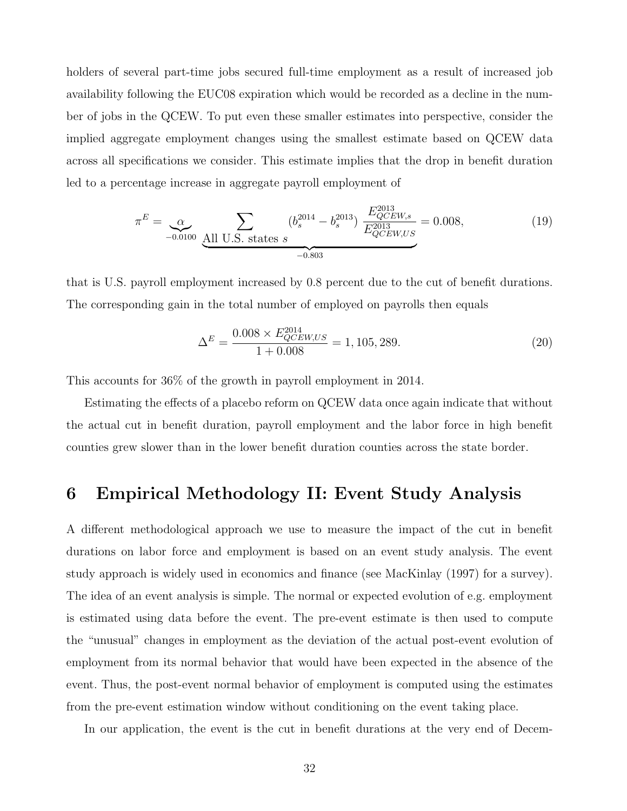holders of several part-time jobs secured full-time employment as a result of increased job availability following the EUC08 expiration which would be recorded as a decline in the number of jobs in the QCEW. To put even these smaller estimates into perspective, consider the implied aggregate employment changes using the smallest estimate based on QCEW data across all specifications we consider. This estimate implies that the drop in benefit duration led to a percentage increase in aggregate payroll employment of

$$
\pi^{E} = \underbrace{\alpha}_{-0.0100} \underbrace{\sum_{\text{All U.S. states } s} (b_s^{2014} - b_s^{2013})}_{-0.803} \underbrace{\frac{E_{QCEW,s}^{2013}}{E_{QCEW,US}^{2013}}}_{= 0.008,}
$$
\n(19)

that is U.S. payroll employment increased by 0.8 percent due to the cut of benefit durations. The corresponding gain in the total number of employed on payrolls then equals

$$
\Delta^{E} = \frac{0.008 \times E_{QCEW,US}^{2014}}{1 + 0.008} = 1,105,289.
$$
\n(20)

This accounts for 36% of the growth in payroll employment in 2014.

Estimating the effects of a placebo reform on QCEW data once again indicate that without the actual cut in benefit duration, payroll employment and the labor force in high benefit counties grew slower than in the lower benefit duration counties across the state border.

### 6 Empirical Methodology II: Event Study Analysis

A different methodological approach we use to measure the impact of the cut in benefit durations on labor force and employment is based on an event study analysis. The event study approach is widely used in economics and finance (see MacKinlay (1997) for a survey). The idea of an event analysis is simple. The normal or expected evolution of e.g. employment is estimated using data before the event. The pre-event estimate is then used to compute the "unusual" changes in employment as the deviation of the actual post-event evolution of employment from its normal behavior that would have been expected in the absence of the event. Thus, the post-event normal behavior of employment is computed using the estimates from the pre-event estimation window without conditioning on the event taking place.

In our application, the event is the cut in benefit durations at the very end of Decem-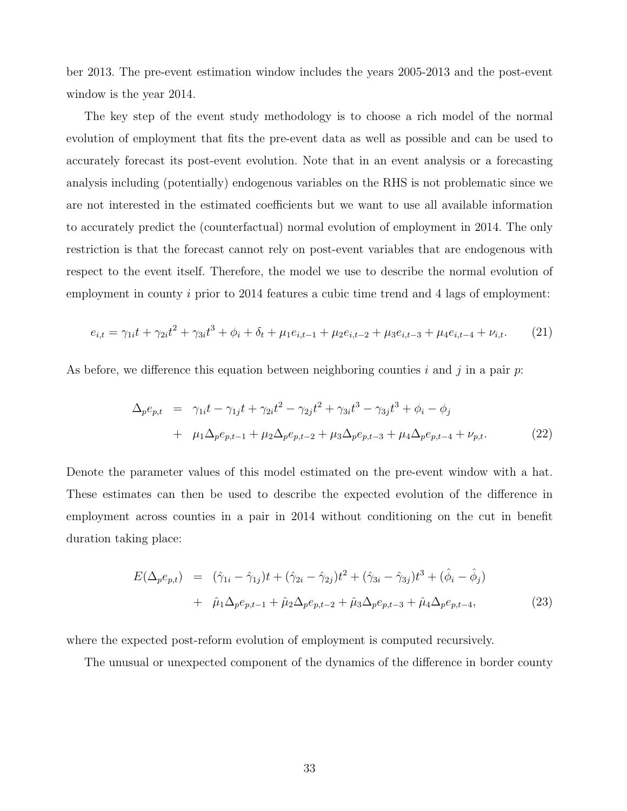ber 2013. The pre-event estimation window includes the years 2005-2013 and the post-event window is the year 2014.

The key step of the event study methodology is to choose a rich model of the normal evolution of employment that fits the pre-event data as well as possible and can be used to accurately forecast its post-event evolution. Note that in an event analysis or a forecasting analysis including (potentially) endogenous variables on the RHS is not problematic since we are not interested in the estimated coefficients but we want to use all available information to accurately predict the (counterfactual) normal evolution of employment in 2014. The only restriction is that the forecast cannot rely on post-event variables that are endogenous with respect to the event itself. Therefore, the model we use to describe the normal evolution of employment in county  $i$  prior to 2014 features a cubic time trend and 4 lags of employment:

$$
e_{i,t} = \gamma_{1i}t + \gamma_{2i}t^2 + \gamma_{3i}t^3 + \phi_i + \delta_t + \mu_1 e_{i,t-1} + \mu_2 e_{i,t-2} + \mu_3 e_{i,t-3} + \mu_4 e_{i,t-4} + \nu_{i,t}.
$$
 (21)

As before, we difference this equation between neighboring counties i and j in a pair  $p$ .

$$
\Delta_p e_{p,t} = \gamma_{1i} t - \gamma_{1j} t + \gamma_{2i} t^2 - \gamma_{2j} t^2 + \gamma_{3i} t^3 - \gamma_{3j} t^3 + \phi_i - \phi_j
$$
  
+  $\mu_1 \Delta_p e_{p,t-1} + \mu_2 \Delta_p e_{p,t-2} + \mu_3 \Delta_p e_{p,t-3} + \mu_4 \Delta_p e_{p,t-4} + \nu_{p,t}.$  (22)

Denote the parameter values of this model estimated on the pre-event window with a hat. These estimates can then be used to describe the expected evolution of the difference in employment across counties in a pair in 2014 without conditioning on the cut in benefit duration taking place:

$$
E(\Delta_p e_{p,t}) = (\hat{\gamma}_{1i} - \hat{\gamma}_{1j})t + (\hat{\gamma}_{2i} - \hat{\gamma}_{2j})t^2 + (\hat{\gamma}_{3i} - \hat{\gamma}_{3j})t^3 + (\hat{\phi}_i - \hat{\phi}_j) + \hat{\mu}_1 \Delta_p e_{p,t-1} + \hat{\mu}_2 \Delta_p e_{p,t-2} + \hat{\mu}_3 \Delta_p e_{p,t-3} + \hat{\mu}_4 \Delta_p e_{p,t-4},
$$
\n(23)

where the expected post-reform evolution of employment is computed recursively.

The unusual or unexpected component of the dynamics of the difference in border county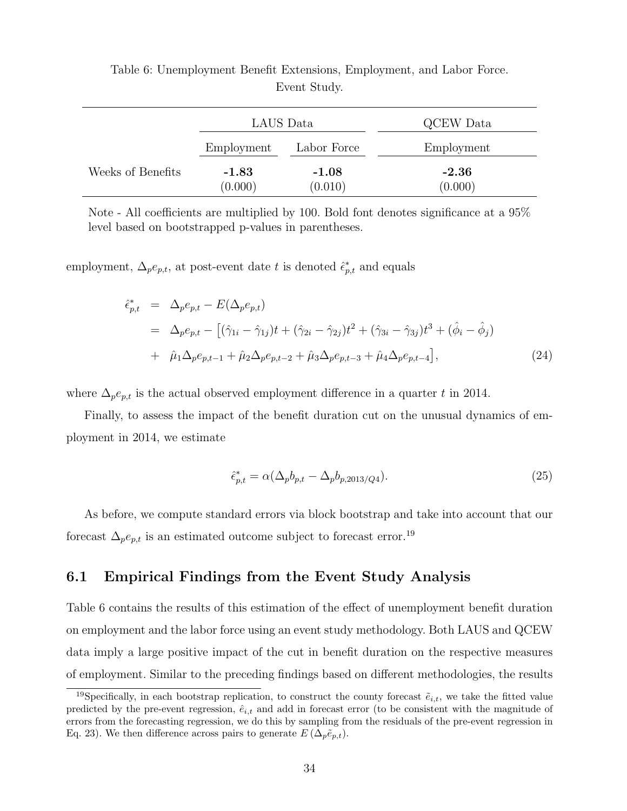|                   | LAUS Data          |                    | QCEW Data          |
|-------------------|--------------------|--------------------|--------------------|
|                   | Employment         | Labor Force        | Employment         |
| Weeks of Benefits | $-1.83$<br>(0.000) | $-1.08$<br>(0.010) | $-2.36$<br>(0.000) |

Table 6: Unemployment Benefit Extensions, Employment, and Labor Force. Event Study.

Note - All coefficients are multiplied by 100. Bold font denotes significance at a 95% level based on bootstrapped p-values in parentheses.

employment,  $\Delta_p e_{p,t}$ , at post-event date t is denoted  $\hat{\epsilon}_{p,t}^*$  and equals

$$
\begin{split}\n\hat{\epsilon}_{p,t}^{*} &= \Delta_{p}e_{p,t} - E(\Delta_{p}e_{p,t}) \\
&= \Delta_{p}e_{p,t} - \left[ (\hat{\gamma}_{1i} - \hat{\gamma}_{1j})t + (\hat{\gamma}_{2i} - \hat{\gamma}_{2j})t^{2} + (\hat{\gamma}_{3i} - \hat{\gamma}_{3j})t^{3} + (\hat{\phi}_{i} - \hat{\phi}_{j}) \right. \\
&\quad + \hat{\mu}_{1}\Delta_{p}e_{p,t-1} + \hat{\mu}_{2}\Delta_{p}e_{p,t-2} + \hat{\mu}_{3}\Delta_{p}e_{p,t-3} + \hat{\mu}_{4}\Delta_{p}e_{p,t-4} \right],\n\end{split} \tag{24}
$$

where  $\Delta_p e_{p,t}$  is the actual observed employment difference in a quarter t in 2014.

Finally, to assess the impact of the benefit duration cut on the unusual dynamics of employment in 2014, we estimate

$$
\hat{\epsilon}_{p,t}^* = \alpha (\Delta_p b_{p,t} - \Delta_p b_{p,2013/Q4}).\tag{25}
$$

As before, we compute standard errors via block bootstrap and take into account that our forecast  $\Delta_{p}e_{p,t}$  is an estimated outcome subject to forecast error.<sup>19</sup>

#### 6.1 Empirical Findings from the Event Study Analysis

Table 6 contains the results of this estimation of the effect of unemployment benefit duration on employment and the labor force using an event study methodology. Both LAUS and QCEW data imply a large positive impact of the cut in benefit duration on the respective measures of employment. Similar to the preceding findings based on different methodologies, the results

<sup>&</sup>lt;sup>19</sup>Specifically, in each bootstrap replication, to construct the county forecast  $\tilde{e}_{i,t}$ , we take the fitted value predicted by the pre-event regression,  $\hat{e}_{i,t}$  and add in forecast error (to be consistent with the magnitude of errors from the forecasting regression, we do this by sampling from the residuals of the pre-event regression in Eq. 23). We then difference across pairs to generate  $E(\Delta_p \tilde{e}_{p,t})$ .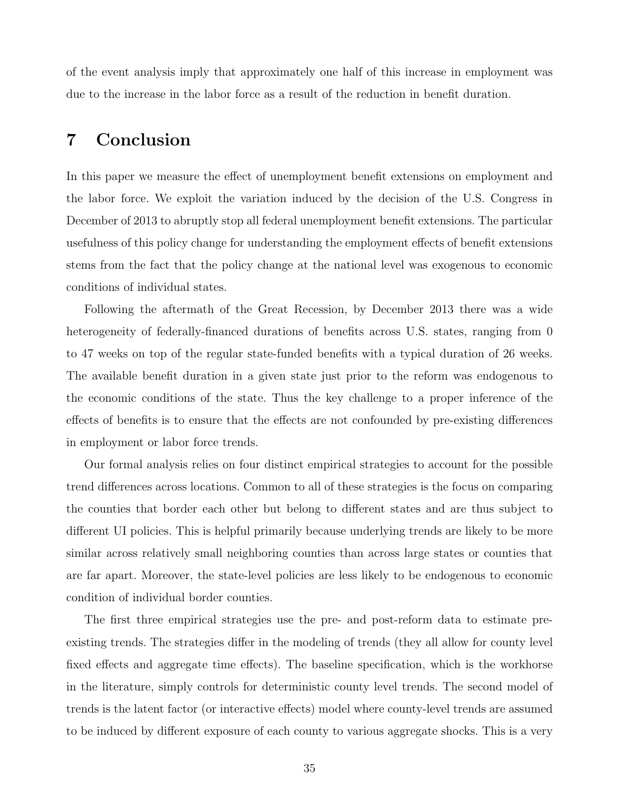of the event analysis imply that approximately one half of this increase in employment was due to the increase in the labor force as a result of the reduction in benefit duration.

### 7 Conclusion

In this paper we measure the effect of unemployment benefit extensions on employment and the labor force. We exploit the variation induced by the decision of the U.S. Congress in December of 2013 to abruptly stop all federal unemployment benefit extensions. The particular usefulness of this policy change for understanding the employment effects of benefit extensions stems from the fact that the policy change at the national level was exogenous to economic conditions of individual states.

Following the aftermath of the Great Recession, by December 2013 there was a wide heterogeneity of federally-financed durations of benefits across U.S. states, ranging from 0 to 47 weeks on top of the regular state-funded benefits with a typical duration of 26 weeks. The available benefit duration in a given state just prior to the reform was endogenous to the economic conditions of the state. Thus the key challenge to a proper inference of the effects of benefits is to ensure that the effects are not confounded by pre-existing differences in employment or labor force trends.

Our formal analysis relies on four distinct empirical strategies to account for the possible trend differences across locations. Common to all of these strategies is the focus on comparing the counties that border each other but belong to different states and are thus subject to different UI policies. This is helpful primarily because underlying trends are likely to be more similar across relatively small neighboring counties than across large states or counties that are far apart. Moreover, the state-level policies are less likely to be endogenous to economic condition of individual border counties.

The first three empirical strategies use the pre- and post-reform data to estimate preexisting trends. The strategies differ in the modeling of trends (they all allow for county level fixed effects and aggregate time effects). The baseline specification, which is the workhorse in the literature, simply controls for deterministic county level trends. The second model of trends is the latent factor (or interactive effects) model where county-level trends are assumed to be induced by different exposure of each county to various aggregate shocks. This is a very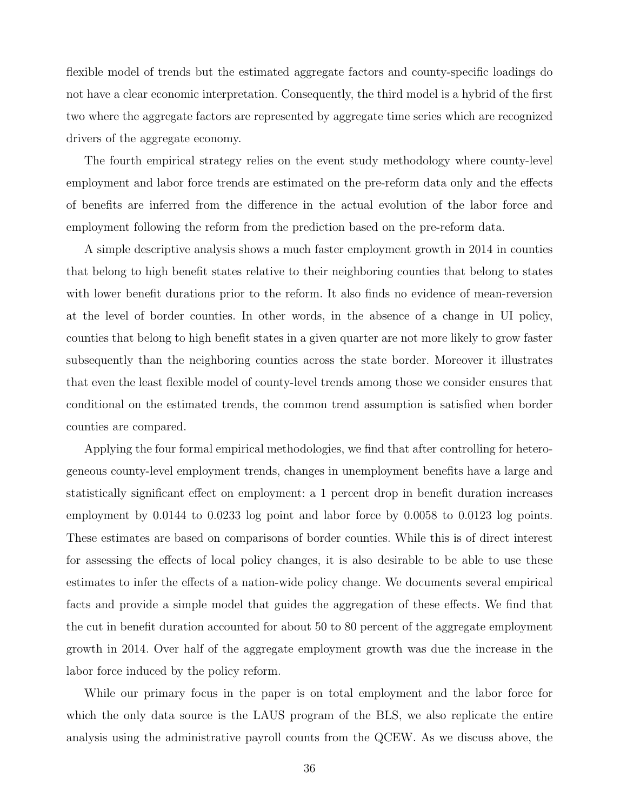flexible model of trends but the estimated aggregate factors and county-specific loadings do not have a clear economic interpretation. Consequently, the third model is a hybrid of the first two where the aggregate factors are represented by aggregate time series which are recognized drivers of the aggregate economy.

The fourth empirical strategy relies on the event study methodology where county-level employment and labor force trends are estimated on the pre-reform data only and the effects of benefits are inferred from the difference in the actual evolution of the labor force and employment following the reform from the prediction based on the pre-reform data.

A simple descriptive analysis shows a much faster employment growth in 2014 in counties that belong to high benefit states relative to their neighboring counties that belong to states with lower benefit durations prior to the reform. It also finds no evidence of mean-reversion at the level of border counties. In other words, in the absence of a change in UI policy, counties that belong to high benefit states in a given quarter are not more likely to grow faster subsequently than the neighboring counties across the state border. Moreover it illustrates that even the least flexible model of county-level trends among those we consider ensures that conditional on the estimated trends, the common trend assumption is satisfied when border counties are compared.

Applying the four formal empirical methodologies, we find that after controlling for heterogeneous county-level employment trends, changes in unemployment benefits have a large and statistically significant effect on employment: a 1 percent drop in benefit duration increases employment by 0.0144 to 0.0233 log point and labor force by 0.0058 to 0.0123 log points. These estimates are based on comparisons of border counties. While this is of direct interest for assessing the effects of local policy changes, it is also desirable to be able to use these estimates to infer the effects of a nation-wide policy change. We documents several empirical facts and provide a simple model that guides the aggregation of these effects. We find that the cut in benefit duration accounted for about 50 to 80 percent of the aggregate employment growth in 2014. Over half of the aggregate employment growth was due the increase in the labor force induced by the policy reform.

While our primary focus in the paper is on total employment and the labor force for which the only data source is the LAUS program of the BLS, we also replicate the entire analysis using the administrative payroll counts from the QCEW. As we discuss above, the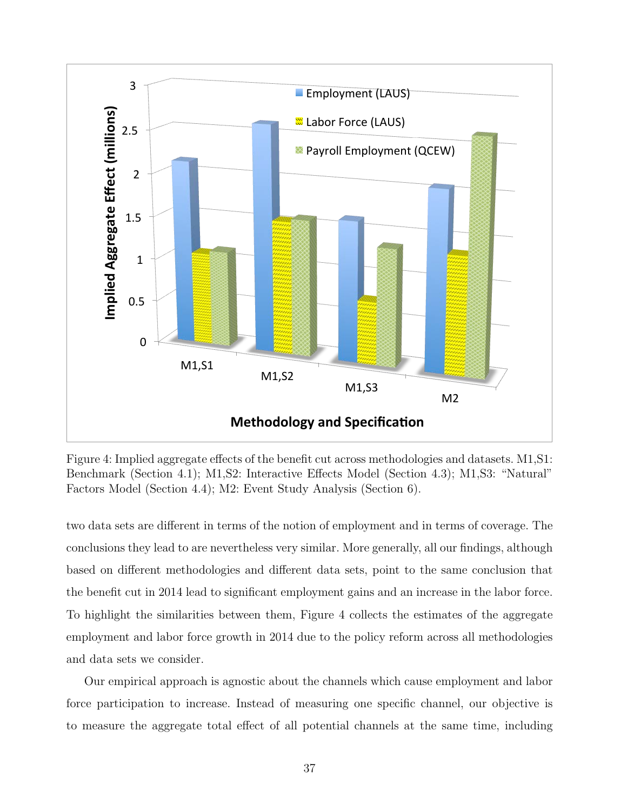

Figure 4: Implied aggregate effects of the benefit cut across methodologies and datasets. M1,S1: Benchmark (Section 4.1); M1,S2: Interactive Effects Model (Section 4.3); M1,S3: "Natural" Factors Model (Section 4.4); M2: Event Study Analysis (Section 6).

two data sets are different in terms of the notion of employment and in terms of coverage. The conclusions they lead to are nevertheless very similar. More generally, all our findings, although based on different methodologies and different data sets, point to the same conclusion that the benefit cut in 2014 lead to significant employment gains and an increase in the labor force. To highlight the similarities between them, Figure 4 collects the estimates of the aggregate employment and labor force growth in 2014 due to the policy reform across all methodologies and data sets we consider.

Our empirical approach is agnostic about the channels which cause employment and labor force participation to increase. Instead of measuring one specific channel, our objective is to measure the aggregate total effect of all potential channels at the same time, including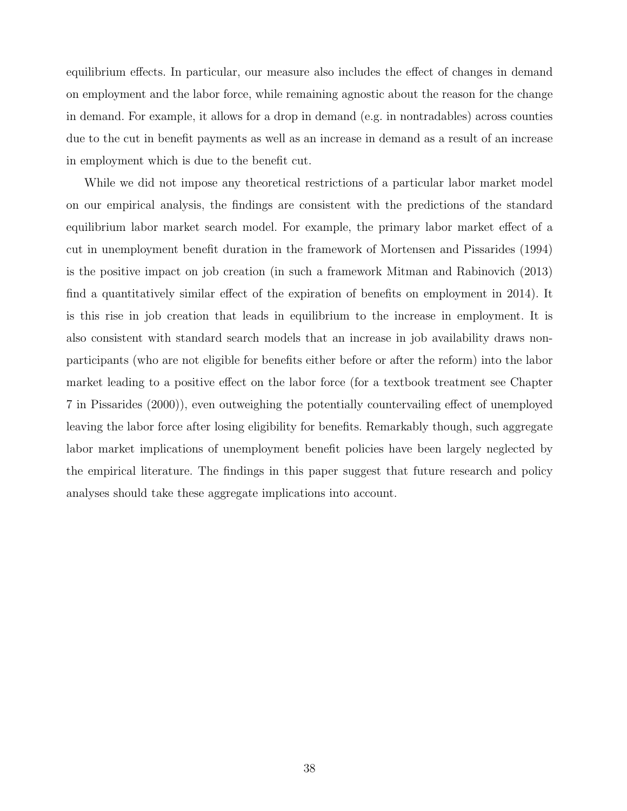equilibrium effects. In particular, our measure also includes the effect of changes in demand on employment and the labor force, while remaining agnostic about the reason for the change in demand. For example, it allows for a drop in demand (e.g. in nontradables) across counties due to the cut in benefit payments as well as an increase in demand as a result of an increase in employment which is due to the benefit cut.

While we did not impose any theoretical restrictions of a particular labor market model on our empirical analysis, the findings are consistent with the predictions of the standard equilibrium labor market search model. For example, the primary labor market effect of a cut in unemployment benefit duration in the framework of Mortensen and Pissarides (1994) is the positive impact on job creation (in such a framework Mitman and Rabinovich (2013) find a quantitatively similar effect of the expiration of benefits on employment in 2014). It is this rise in job creation that leads in equilibrium to the increase in employment. It is also consistent with standard search models that an increase in job availability draws nonparticipants (who are not eligible for benefits either before or after the reform) into the labor market leading to a positive effect on the labor force (for a textbook treatment see Chapter 7 in Pissarides (2000)), even outweighing the potentially countervailing effect of unemployed leaving the labor force after losing eligibility for benefits. Remarkably though, such aggregate labor market implications of unemployment benefit policies have been largely neglected by the empirical literature. The findings in this paper suggest that future research and policy analyses should take these aggregate implications into account.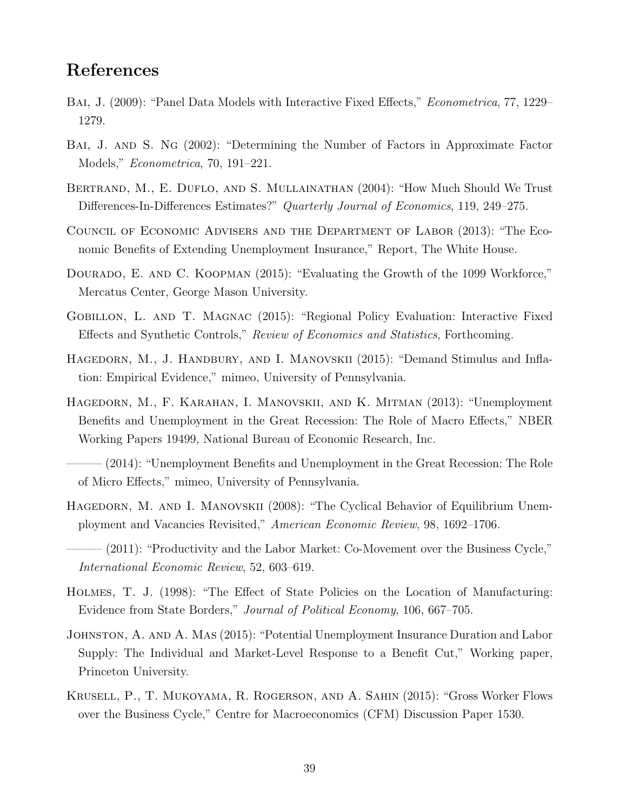### References

- BAI, J. (2009): "Panel Data Models with Interactive Fixed Effects," *Econometrica*, 77, 1229– 1279.
- Bai, J. and S. Ng (2002): "Determining the Number of Factors in Approximate Factor Models," Econometrica, 70, 191–221.
- BERTRAND, M., E. DUFLO, AND S. MULLAINATHAN (2004): "How Much Should We Trust Differences-In-Differences Estimates?" Quarterly Journal of Economics, 119, 249–275.
- Council of Economic Advisers and the Department of Labor (2013): "The Economic Benefits of Extending Unemployment Insurance," Report, The White House.
- DOURADO, E. AND C. KOOPMAN (2015): "Evaluating the Growth of the 1099 Workforce," Mercatus Center, George Mason University.
- Gobillon, L. and T. Magnac (2015): "Regional Policy Evaluation: Interactive Fixed Effects and Synthetic Controls," Review of Economics and Statistics, Forthcoming.
- HAGEDORN, M., J. HANDBURY, AND I. MANOVSKII (2015): "Demand Stimulus and Inflation: Empirical Evidence," mimeo, University of Pennsylvania.
- Hagedorn, M., F. Karahan, I. Manovskii, and K. Mitman (2013): "Unemployment Benefits and Unemployment in the Great Recession: The Role of Macro Effects," NBER Working Papers 19499, National Bureau of Economic Research, Inc.
- $(2014)$ : "Unemployment Benefits and Unemployment in the Great Recession: The Role of Micro Effects," mimeo, University of Pennsylvania.
- HAGEDORN, M. AND I. MANOVSKII (2008): "The Cyclical Behavior of Equilibrium Unemployment and Vacancies Revisited," American Economic Review, 98, 1692–1706.
- $(2011)$ : "Productivity and the Labor Market: Co-Movement over the Business Cycle," International Economic Review, 52, 603–619.
- Holmes, T. J. (1998): "The Effect of State Policies on the Location of Manufacturing: Evidence from State Borders," Journal of Political Economy, 106, 667–705.
- Johnston, A. and A. Mas (2015): "Potential Unemployment Insurance Duration and Labor Supply: The Individual and Market-Level Response to a Benefit Cut," Working paper, Princeton University.
- Krusell, P., T. Mukoyama, R. Rogerson, and A. Sahin (2015): "Gross Worker Flows over the Business Cycle," Centre for Macroeconomics (CFM) Discussion Paper 1530.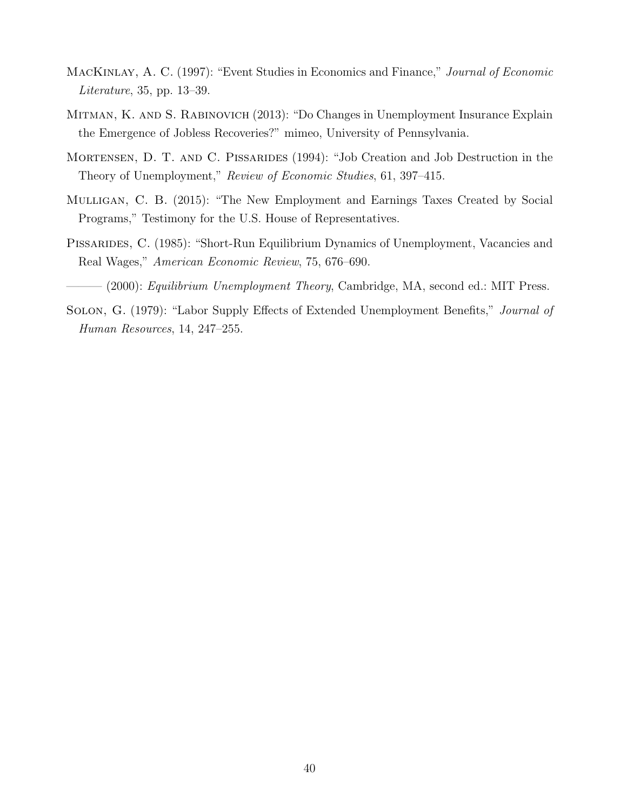- MACKINLAY, A. C. (1997): "Event Studies in Economics and Finance," Journal of Economic Literature, 35, pp. 13–39.
- Mitman, K. and S. Rabinovich (2013): "Do Changes in Unemployment Insurance Explain the Emergence of Jobless Recoveries?" mimeo, University of Pennsylvania.
- MORTENSEN, D. T. AND C. PISSARIDES (1994): "Job Creation and Job Destruction in the Theory of Unemployment," Review of Economic Studies, 61, 397–415.
- Mulligan, C. B. (2015): "The New Employment and Earnings Taxes Created by Social Programs," Testimony for the U.S. House of Representatives.
- PISSARIDES, C. (1985): "Short-Run Equilibrium Dynamics of Unemployment, Vacancies and Real Wages," American Economic Review, 75, 676–690.
- $-(2000)$ : Equilibrium Unemployment Theory, Cambridge, MA, second ed.: MIT Press.
- Solon, G. (1979): "Labor Supply Effects of Extended Unemployment Benefits," Journal of Human Resources, 14, 247–255.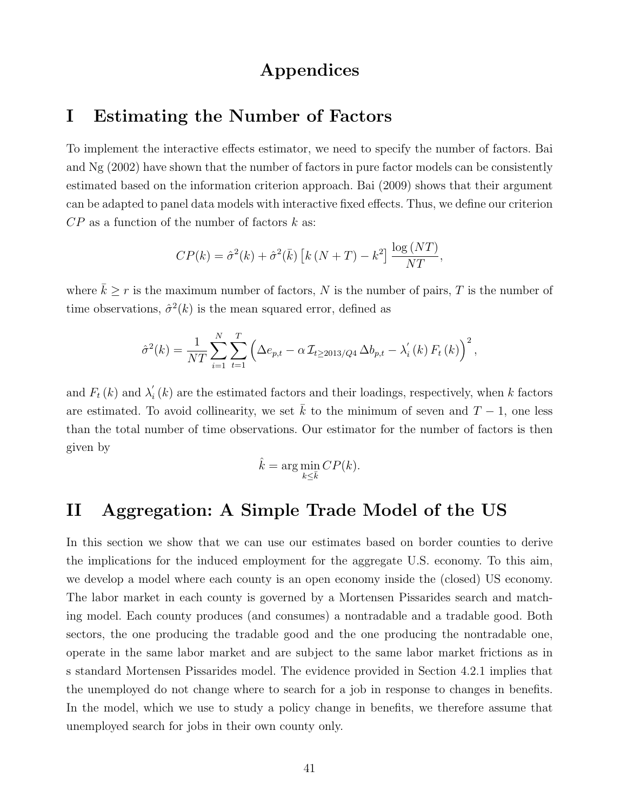### Appendices

### I Estimating the Number of Factors

To implement the interactive effects estimator, we need to specify the number of factors. Bai and Ng (2002) have shown that the number of factors in pure factor models can be consistently estimated based on the information criterion approach. Bai (2009) shows that their argument can be adapted to panel data models with interactive fixed effects. Thus, we define our criterion  $CP$  as a function of the number of factors  $k$  as:

$$
CP(k) = \hat{\sigma}^{2}(k) + \hat{\sigma}^{2}(\bar{k}) \left[ k (N+T) - k^{2} \right] \frac{\log (NT)}{NT},
$$

where  $\bar{k} \ge r$  is the maximum number of factors, N is the number of pairs, T is the number of time observations,  $\hat{\sigma}^2(k)$  is the mean squared error, defined as

$$
\hat{\sigma}^{2}(k) = \frac{1}{NT} \sum_{i=1}^{N} \sum_{t=1}^{T} \left( \Delta e_{p,t} - \alpha \mathcal{I}_{t \ge 2013/Q4} \Delta b_{p,t} - \lambda'_{i}(k) F_{t}(k) \right)^{2},
$$

and  $F_t(k)$  and  $\lambda'_i$  $i<sub>i</sub>(k)$  are the estimated factors and their loadings, respectively, when k factors are estimated. To avoid collinearity, we set  $\overline{k}$  to the minimum of seven and  $T-1$ , one less than the total number of time observations. Our estimator for the number of factors is then given by

$$
\hat{k} = \arg\min_{k \le \bar{k}} CP(k).
$$

# II Aggregation: A Simple Trade Model of the US

In this section we show that we can use our estimates based on border counties to derive the implications for the induced employment for the aggregate U.S. economy. To this aim, we develop a model where each county is an open economy inside the (closed) US economy. The labor market in each county is governed by a Mortensen Pissarides search and matching model. Each county produces (and consumes) a nontradable and a tradable good. Both sectors, the one producing the tradable good and the one producing the nontradable one, operate in the same labor market and are subject to the same labor market frictions as in s standard Mortensen Pissarides model. The evidence provided in Section 4.2.1 implies that the unemployed do not change where to search for a job in response to changes in benefits. In the model, which we use to study a policy change in benefits, we therefore assume that unemployed search for jobs in their own county only.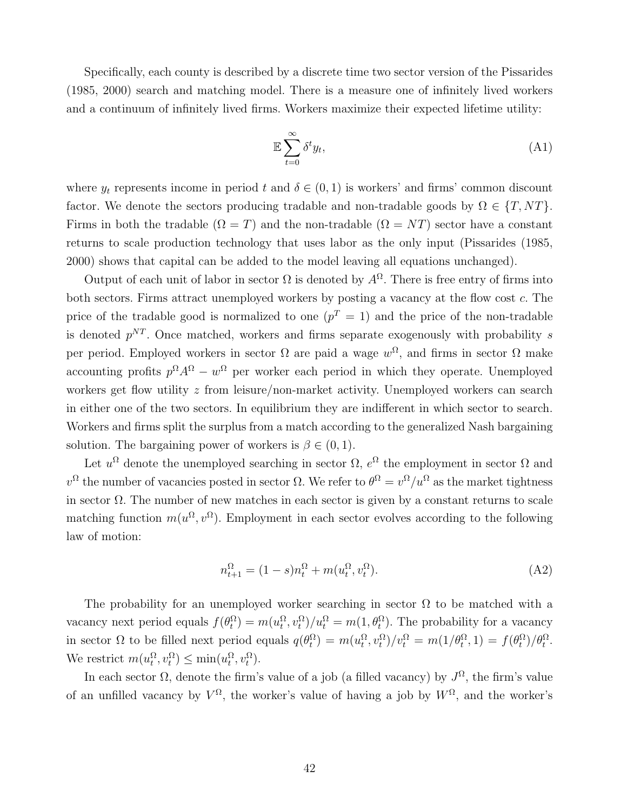Specifically, each county is described by a discrete time two sector version of the Pissarides (1985, 2000) search and matching model. There is a measure one of infinitely lived workers and a continuum of infinitely lived firms. Workers maximize their expected lifetime utility:

$$
\mathbb{E}\sum_{t=0}^{\infty} \delta^t y_t,\tag{A1}
$$

where  $y_t$  represents income in period t and  $\delta \in (0,1)$  is workers' and firms' common discount factor. We denote the sectors producing tradable and non-tradable goods by  $\Omega \in \{T, NT\}$ . Firms in both the tradable  $(\Omega = T)$  and the non-tradable  $(\Omega = NT)$  sector have a constant returns to scale production technology that uses labor as the only input (Pissarides (1985, 2000) shows that capital can be added to the model leaving all equations unchanged).

Output of each unit of labor in sector  $\Omega$  is denoted by  $A^{\Omega}$ . There is free entry of firms into both sectors. Firms attract unemployed workers by posting a vacancy at the flow cost c. The price of the tradable good is normalized to one  $(p^T = 1)$  and the price of the non-tradable is denoted  $p^{NT}$ . Once matched, workers and firms separate exogenously with probability s per period. Employed workers in sector  $\Omega$  are paid a wage  $w^{\Omega}$ , and firms in sector  $\Omega$  make accounting profits  $p^{\Omega} A^{\Omega} - w^{\Omega}$  per worker each period in which they operate. Unemployed workers get flow utility z from leisure/non-market activity. Unemployed workers can search in either one of the two sectors. In equilibrium they are indifferent in which sector to search. Workers and firms split the surplus from a match according to the generalized Nash bargaining solution. The bargaining power of workers is  $\beta \in (0, 1)$ .

Let  $u^{\Omega}$  denote the unemployed searching in sector  $\Omega$ ,  $e^{\Omega}$  the employment in sector  $\Omega$  and  $v^{\Omega}$  the number of vacancies posted in sector Ω. We refer to  $\theta^{\Omega} = v^{\Omega}/u^{\Omega}$  as the market tightness in sector  $\Omega$ . The number of new matches in each sector is given by a constant returns to scale matching function  $m(u^{\Omega}, v^{\Omega})$ . Employment in each sector evolves according to the following law of motion:

$$
n_{t+1}^{\Omega} = (1 - s)n_t^{\Omega} + m(u_t^{\Omega}, v_t^{\Omega}).
$$
\n(A2)

The probability for an unemployed worker searching in sector  $\Omega$  to be matched with a vacancy next period equals  $f(\theta_t^{\Omega}) = m(u_t^{\Omega}, v_t^{\Omega})/u_t^{\Omega} = m(1, \theta_t^{\Omega})$ . The probability for a vacancy in sector  $\Omega$  to be filled next period equals  $q(\theta_t^{\Omega}) = m(u_t^{\Omega}, v_t^{\Omega})/v_t^{\Omega} = m(1/\theta_t^{\Omega}, 1) = f(\theta_t^{\Omega})/\theta_t^{\Omega}$ . We restrict  $m(u_t^{\Omega}, v_t^{\Omega}) \le \min(u_t^{\Omega}, v_t^{\Omega}).$ 

In each sector  $\Omega$ , denote the firm's value of a job (a filled vacancy) by  $J^{\Omega}$ , the firm's value of an unfilled vacancy by  $V^{\Omega}$ , the worker's value of having a job by  $W^{\Omega}$ , and the worker's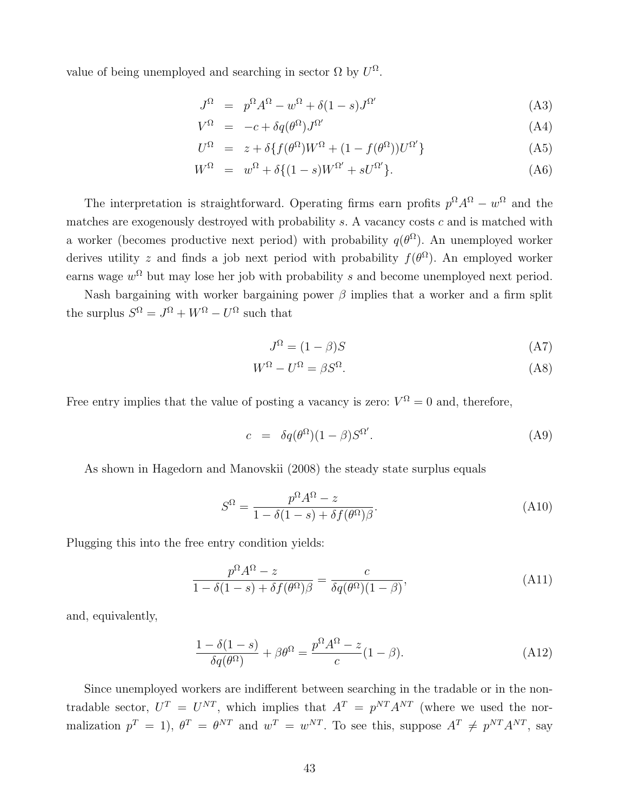value of being unemployed and searching in sector  $\Omega$  by  $U^{\Omega}$ .

$$
J^{\Omega} = p^{\Omega}A^{\Omega} - w^{\Omega} + \delta(1 - s)J^{\Omega'} \tag{A3}
$$

$$
V^{\Omega} = -c + \delta q(\theta^{\Omega}) J^{\Omega'} \tag{A4}
$$

$$
U^{\Omega} = z + \delta \{ f(\theta^{\Omega})W^{\Omega} + (1 - f(\theta^{\Omega}))U^{\Omega'} \}
$$
 (A5)

$$
W^{\Omega} = w^{\Omega} + \delta \{ (1 - s)W^{\Omega'} + sU^{\Omega'} \}.
$$
 (A6)

The interpretation is straightforward. Operating firms earn profits  $p^{\Omega} A^{\Omega} - w^{\Omega}$  and the matches are exogenously destroyed with probability  $s$ . A vacancy costs  $c$  and is matched with a worker (becomes productive next period) with probability  $q(\theta^{\Omega})$ . An unemployed worker derives utility z and finds a job next period with probability  $f(\theta^{\Omega})$ . An employed worker earns wage  $w^{\Omega}$  but may lose her job with probability s and become unemployed next period.

Nash bargaining with worker bargaining power  $\beta$  implies that a worker and a firm split the surplus  $S^{\Omega} = J^{\Omega} + W^{\Omega} - U^{\Omega}$  such that

$$
J^{\Omega} = (1 - \beta)S \tag{A7}
$$

$$
W^{\Omega} - U^{\Omega} = \beta S^{\Omega}.
$$
 (A8)

Free entry implies that the value of posting a vacancy is zero:  $V^{\Omega} = 0$  and, therefore,

$$
c = \delta q(\theta^{\Omega})(1-\beta)S^{\Omega'}.
$$
 (A9)

As shown in Hagedorn and Manovskii (2008) the steady state surplus equals

$$
S^{\Omega} = \frac{p^{\Omega} A^{\Omega} - z}{1 - \delta(1 - s) + \delta f(\theta^{\Omega})\beta}.
$$
\n(A10)

Plugging this into the free entry condition yields:

$$
\frac{p^{\Omega}A^{\Omega} - z}{1 - \delta(1 - s) + \delta f(\theta^{\Omega})\beta} = \frac{c}{\delta q(\theta^{\Omega})(1 - \beta)},
$$
\n(A11)

and, equivalently,

$$
\frac{1 - \delta(1 - s)}{\delta q(\theta^{\Omega})} + \beta \theta^{\Omega} = \frac{p^{\Omega} A^{\Omega} - z}{c} (1 - \beta).
$$
 (A12)

Since unemployed workers are indifferent between searching in the tradable or in the nontradable sector,  $U^T = U^{NT}$ , which implies that  $A^T = p^{NT} A^{NT}$  (where we used the normalization  $p^T = 1$ ,  $\theta^T = \theta^{NT}$  and  $w^T = w^{NT}$ . To see this, suppose  $A^T \neq p^{NT} A^{NT}$ , say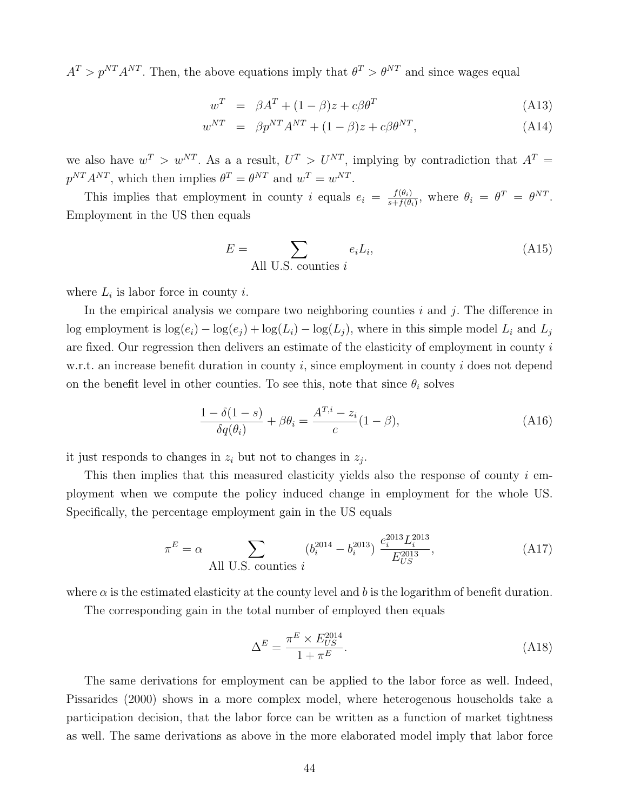$A^T > p^{NT} A^{NT}$ . Then, the above equations imply that  $\theta^T > \theta^{NT}$  and since wages equal

$$
w^T = \beta A^T + (1 - \beta)z + c\beta\theta^T \tag{A13}
$$

$$
w^{NT} = \beta p^{NT} A^{NT} + (1 - \beta)z + c\beta \theta^{NT}, \qquad (A14)
$$

we also have  $w^T > w^{NT}$ . As a a result,  $U^T > U^{NT}$ , implying by contradiction that  $A^T =$  $p^{NT}A^{NT}$ , which then implies  $\theta^T = \theta^{NT}$  and  $w^T = w^{NT}$ .

This implies that employment in county i equals  $e_i = \frac{f(\theta_i)}{s + f(\theta_i)}$  $\frac{f(\theta_i)}{s+f(\theta_i)},$  where  $\theta_i = \theta^T = \theta^{NT}.$ Employment in the US then equals

$$
E = \sum_{\text{All U.S. counties } i} e_i L_i,
$$
 (A15)

where  $L_i$  is labor force in county *i*.

In the empirical analysis we compare two neighboring counties  $i$  and  $j$ . The difference in log employment is  $\log(e_i) - \log(e_j) + \log(L_i) - \log(L_j)$ , where in this simple model  $L_i$  and  $L_j$ are fixed. Our regression then delivers an estimate of the elasticity of employment in county  $i$ w.r.t. an increase benefit duration in county  $i$ , since employment in county  $i$  does not depend on the benefit level in other counties. To see this, note that since  $\theta_i$  solves

$$
\frac{1 - \delta(1 - s)}{\delta q(\theta_i)} + \beta \theta_i = \frac{A^{T,i} - z_i}{c} (1 - \beta),\tag{A16}
$$

it just responds to changes in  $z_i$  but not to changes in  $z_j$ .

This then implies that this measured elasticity yields also the response of county  $i$  employment when we compute the policy induced change in employment for the whole US. Specifically, the percentage employment gain in the US equals

$$
\pi^{E} = \alpha \sum_{\text{All U.S. counties } i} (b_i^{2014} - b_i^{2013}) \frac{e_i^{2013} L_i^{2013}}{E_{US}^{2013}},
$$
\n(A17)

where  $\alpha$  is the estimated elasticity at the county level and b is the logarithm of benefit duration.

The corresponding gain in the total number of employed then equals

$$
\Delta^E = \frac{\pi^E \times E_{US}^{2014}}{1 + \pi^E}.
$$
\n(A18)

The same derivations for employment can be applied to the labor force as well. Indeed, Pissarides (2000) shows in a more complex model, where heterogenous households take a participation decision, that the labor force can be written as a function of market tightness as well. The same derivations as above in the more elaborated model imply that labor force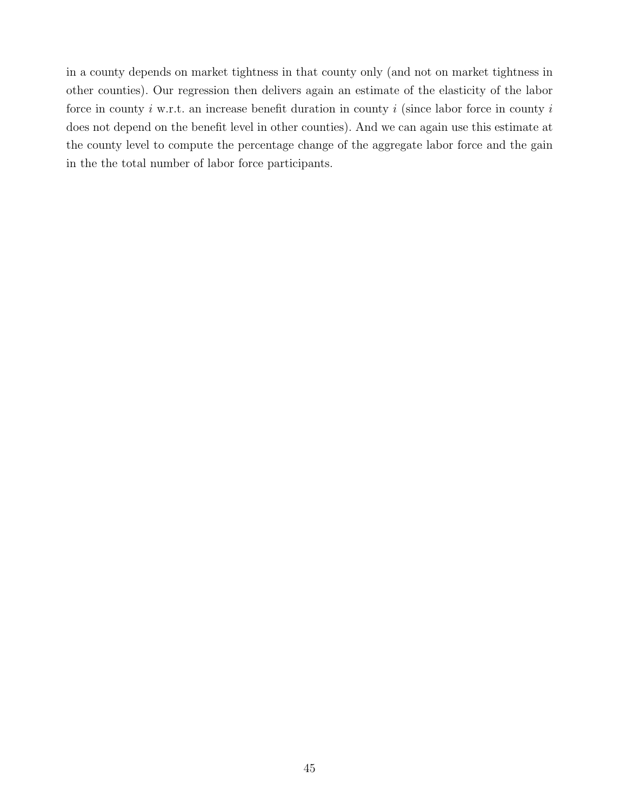in a county depends on market tightness in that county only (and not on market tightness in other counties). Our regression then delivers again an estimate of the elasticity of the labor force in county  $i$  w.r.t. an increase benefit duration in county  $i$  (since labor force in county  $i$ does not depend on the benefit level in other counties). And we can again use this estimate at the county level to compute the percentage change of the aggregate labor force and the gain in the the total number of labor force participants.